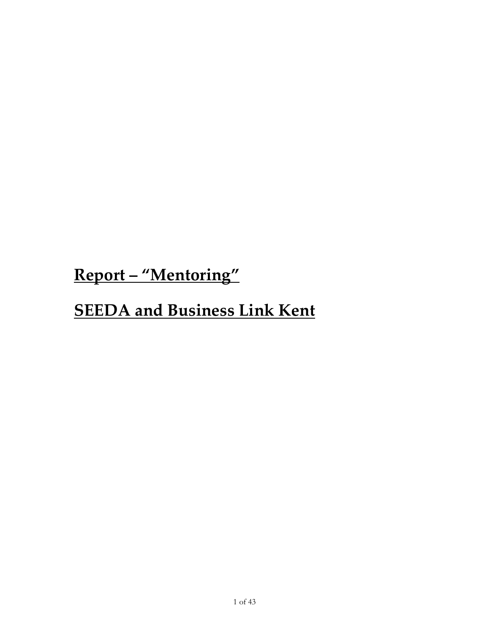Report – "Mentoring"

# **SEEDA and Business Link Kent**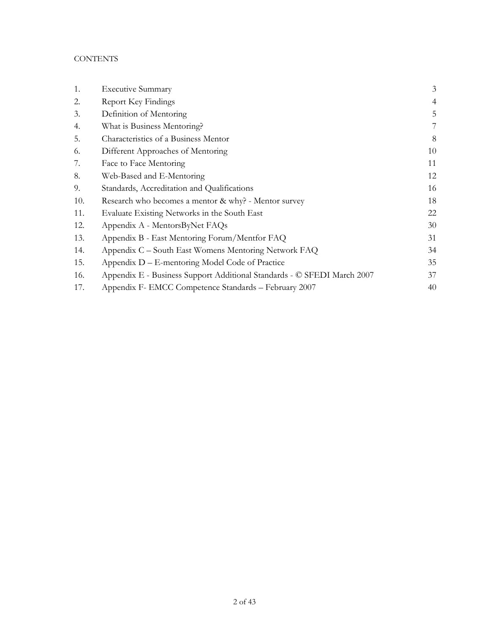## **CONTENTS**

| 1.  | <b>Executive Summary</b>                                                | 3              |
|-----|-------------------------------------------------------------------------|----------------|
| 2.  | Report Key Findings                                                     | $\overline{4}$ |
| 3.  | Definition of Mentoring                                                 | 5              |
| 4.  | What is Business Mentoring?                                             | 7              |
| 5.  | Characteristics of a Business Mentor                                    | 8              |
| 6.  | Different Approaches of Mentoring                                       | 10             |
| 7.  | Face to Face Mentoring                                                  | 11             |
| 8.  | Web-Based and E-Mentoring                                               | 12             |
| 9.  | Standards, Accreditation and Qualifications                             | 16             |
| 10. | Research who becomes a mentor & why? - Mentor survey                    | 18             |
| 11. | Evaluate Existing Networks in the South East                            | 22             |
| 12. | Appendix A - MentorsByNet FAQs                                          | 30             |
| 13. | Appendix B - East Mentoring Forum/Mentfor FAQ                           | 31             |
| 14. | Appendix C – South East Womens Mentoring Network FAQ                    | 34             |
| 15. | Appendix D – E-mentoring Model Code of Practice                         | 35             |
| 16. | Appendix E - Business Support Additional Standards - © SFEDI March 2007 | 37             |
| 17. | Appendix F- EMCC Competence Standards - February 2007                   | 40             |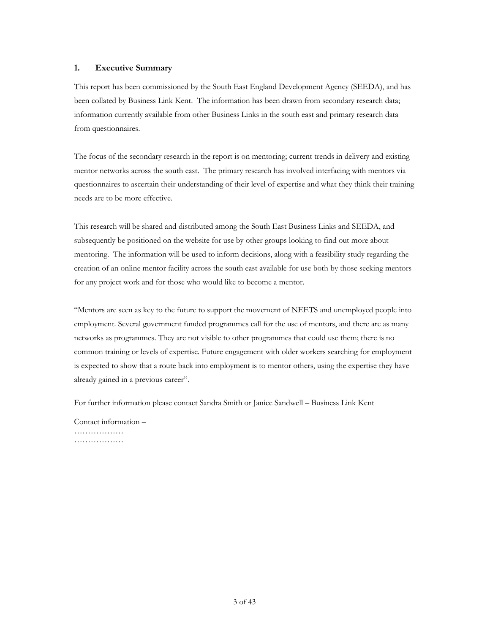## <span id="page-2-0"></span>1. Executive Summary

This report has been commissioned by the South East England Development Agency (SEEDA), and has been collated by Business Link Kent. The information has been drawn from secondary research data; information currently available from other Business Links in the south east and primary research data from questionnaires.

The focus of the secondary research in the report is on mentoring; current trends in delivery and existing mentor networks across the south east. The primary research has involved interfacing with mentors via questionnaires to ascertain their understanding of their level of expertise and what they think their training needs are to be more effective.

This research will be shared and distributed among the South East Business Links and SEEDA, and subsequently be positioned on the website for use by other groups looking to find out more about mentoring. The information will be used to inform decisions, along with a feasibility study regarding the creation of an online mentor facility across the south east available for use both by those seeking mentors for any project work and for those who would like to become a mentor.

"Mentors are seen as key to the future to support the movement of NEETS and unemployed people into employment. Several government funded programmes call for the use of mentors, and there are as many networks as programmes. They are not visible to other programmes that could use them; there is no common training or levels of expertise. Future engagement with older workers searching for employment is expected to show that a route back into employment is to mentor others, using the expertise they have already gained in a previous career".

For further information please contact Sandra Smith or Janice Sandwell – Business Link Kent

Contact information – ………………… ………………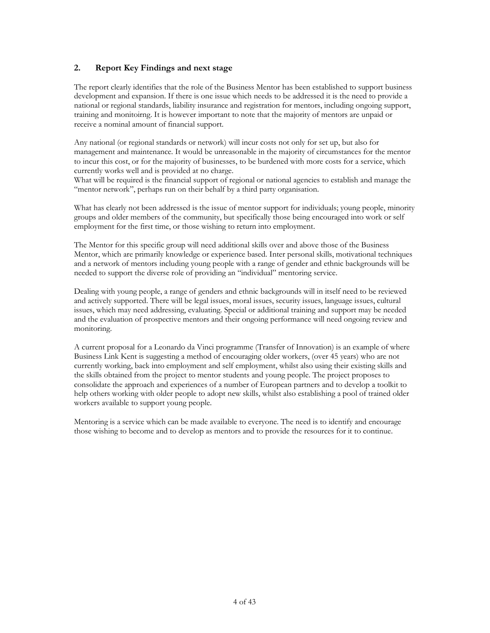## <span id="page-3-0"></span>2. Report Key Findings and next stage

The report clearly identifies that the role of the Business Mentor has been established to support business development and expansion. If there is one issue which needs to be addressed it is the need to provide a national or regional standards, liability insurance and registration for mentors, including ongoing support, training and monitoirng. It is however important to note that the majority of mentors are unpaid or receive a nominal amount of financial support.

Any national (or regional standards or network) will incur costs not only for set up, but also for management and maintenance. It would be unreasonable in the majority of circumstances for the mentor to incur this cost, or for the majority of businesses, to be burdened with more costs for a service, which currently works well and is provided at no charge.

What will be required is the financial support of regional or national agencies to establish and manage the "mentor network", perhaps run on their behalf by a third party organisation.

What has clearly not been addressed is the issue of mentor support for individuals; young people, minority groups and older members of the community, but specifically those being encouraged into work or self employment for the first time, or those wishing to return into employment.

The Mentor for this specific group will need additional skills over and above those of the Business Mentor, which are primarily knowledge or experience based. Inter personal skills, motivational techniques and a network of mentors including young people with a range of gender and ethnic backgrounds will be needed to support the diverse role of providing an "individual" mentoring service.

Dealing with young people, a range of genders and ethnic backgrounds will in itself need to be reviewed and actively supported. There will be legal issues, moral issues, security issues, language issues, cultural issues, which may need addressing, evaluating. Special or additional training and support may be needed and the evaluation of prospective mentors and their ongoing performance will need ongoing review and monitoring.

A current proposal for a Leonardo da Vinci programme (Transfer of Innovation) is an example of where Business Link Kent is suggesting a method of encouraging older workers, (over 45 years) who are not currently working, back into employment and self employment, whilst also using their existing skills and the skills obtained from the project to mentor students and young people. The project proposes to consolidate the approach and experiences of a number of European partners and to develop a toolkit to help others working with older people to adopt new skills, whilst also establishing a pool of trained older workers available to support young people.

Mentoring is a service which can be made available to everyone. The need is to identify and encourage those wishing to become and to develop as mentors and to provide the resources for it to continue.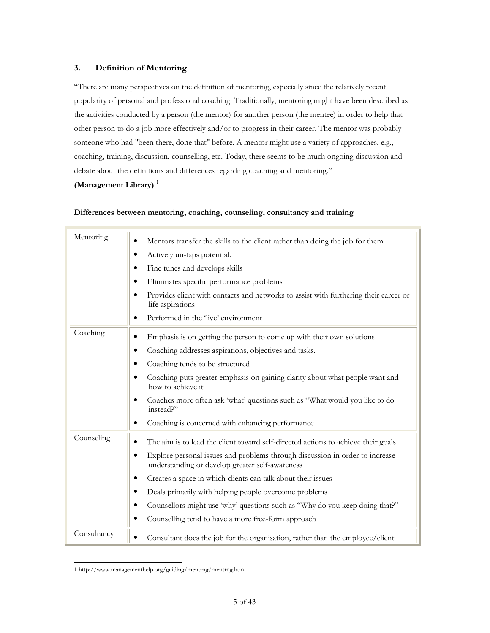## <span id="page-4-0"></span>3. Definition of Mentoring

"There are many perspectives on the definition of mentoring, especially since the relatively recent popularity of personal and professional coaching. Traditionally, mentoring might have been described as the activities conducted by a person (the mentor) for another person (the mentee) in order to help that other person to do a job more effectively and/or to progress in their career. The mentor was probably someone who had "been there, done that" before. A mentor might use a variety of approaches, e.g., coaching, training, discussion, counselling, etc. Today, there seems to be much ongoing discussion and debate about the definitions and differences regarding coaching and mentoring."

## (Management Library) $<sup>1</sup>$ </sup>

### Differences between mentoring, coaching, counseling, consultancy and training

| Mentoring   | Mentors transfer the skills to the client rather than doing the job for them                                                    |
|-------------|---------------------------------------------------------------------------------------------------------------------------------|
|             | Actively un-taps potential.                                                                                                     |
|             | Fine tunes and develops skills<br>٠                                                                                             |
|             | Eliminates specific performance problems<br>٠                                                                                   |
|             | Provides client with contacts and networks to assist with furthering their career or<br>life aspirations                        |
|             | Performed in the 'live' environment                                                                                             |
| Coaching    | Emphasis is on getting the person to come up with their own solutions                                                           |
|             | Coaching addresses aspirations, objectives and tasks.<br>٠                                                                      |
|             | Coaching tends to be structured                                                                                                 |
|             | Coaching puts greater emphasis on gaining clarity about what people want and<br>how to achieve it                               |
|             | Coaches more often ask 'what' questions such as "What would you like to do<br>instead?"                                         |
|             | Coaching is concerned with enhancing performance                                                                                |
| Counseling  | The aim is to lead the client toward self-directed actions to achieve their goals                                               |
|             | Explore personal issues and problems through discussion in order to increase<br>understanding or develop greater self-awareness |
|             | Creates a space in which clients can talk about their issues                                                                    |
|             | Deals primarily with helping people overcome problems                                                                           |
|             | Counsellors might use 'why' questions such as "Why do you keep doing that?"                                                     |
|             | Counselling tend to have a more free-form approach<br>٠                                                                         |
| Consultancy | Consultant does the job for the organisation, rather than the employee/client                                                   |

 $\overline{a}$ [1 http://www.managementhelp.org/guiding/mentrng/mentrng.ht](http://www.managementhelp.org/guiding/mentrng/mentrng.htm)m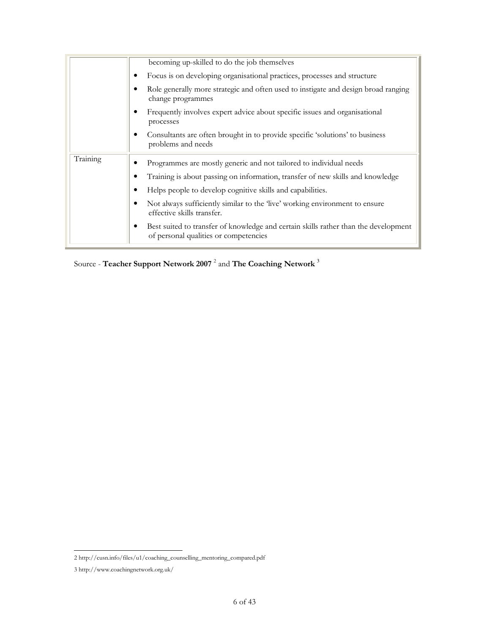|          | becoming up-skilled to do the job themselves                                                                                 |
|----------|------------------------------------------------------------------------------------------------------------------------------|
|          | Focus is on developing organisational practices, processes and structure<br>٠                                                |
|          | Role generally more strategic and often used to instigate and design broad ranging<br>change programmes                      |
|          | Frequently involves expert advice about specific issues and organisational<br>processes                                      |
|          | Consultants are often brought in to provide specific 'solutions' to business<br>problems and needs                           |
| Training | Programmes are mostly generic and not tailored to individual needs                                                           |
|          | Training is about passing on information, transfer of new skills and knowledge                                               |
|          | Helps people to develop cognitive skills and capabilities.                                                                   |
|          | Not always sufficiently similar to the 'live' working environment to ensure<br>effective skills transfer.                    |
|          | Best suited to transfer of knowledge and certain skills rather than the development<br>of personal qualities or competencies |

Source - Teacher Support Network 2007  $^2$  and The Coaching Network  $^3$ 

j 2 http://cusn.info/files/u1/coaching\_counselling\_mentoring\_compared.pdf

<sup>3</sup> http://www.coachingnetwork.org.uk/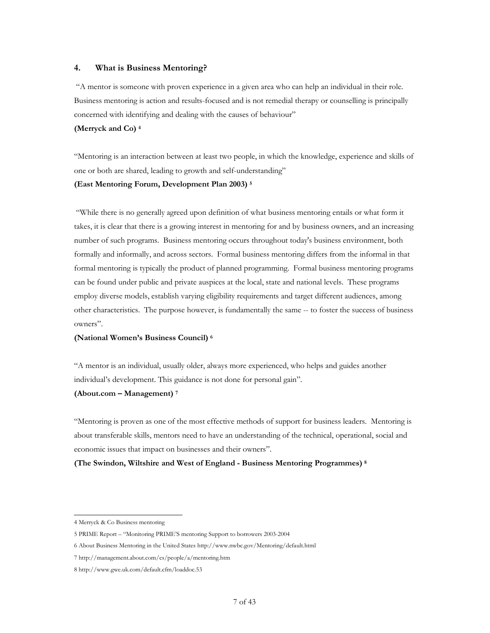## <span id="page-6-0"></span>4. What is Business Mentoring?

 "A mentor is someone with proven experience in a given area who can help an individual in their role. Business mentoring is action and results-focused and is not remedial therapy or counselling is principally concerned with identifying and dealing with the causes of behaviour"

## (Merryck and Co) <sup>4</sup>

"Mentoring is an interaction between at least two people, in which the knowledge, experience and skills of one or both are shared, leading to growth and self-understanding"

#### (East Mentoring Forum, Development Plan 2003) <sup>5</sup>

 "While there is no generally agreed upon definition of what business mentoring entails or what form it takes, it is clear that there is a growing interest in mentoring for and by business owners, and an increasing number of such programs. Business mentoring occurs throughout today's business environment, both formally and informally, and across sectors. Formal business mentoring differs from the informal in that formal mentoring is typically the product of planned programming. Formal business mentoring programs can be found under public and private auspices at the local, state and national levels. These programs employ diverse models, establish varying eligibility requirements and target different audiences, among other characteristics. The purpose however, is fundamentally the same -- to foster the success of business owners".

#### (National Women's Business Council) <sup>6</sup>

"A mentor is an individual, usually older, always more experienced, who helps and guides another individual's development. This guidance is not done for personal gain".

#### (About.com – Management) <sup>7</sup>

"Mentoring is proven as one of the most effective methods of support for business leaders. Mentoring is about transferable skills, mentors need to have an understanding of the technical, operational, social and economic issues that impact on businesses and their owners".

#### (The Swindon, Wiltshire and West of England - Business Mentoring Programmes) <sup>8</sup>

 $\overline{a}$ 4 Merryck & Co Business mentoring

<sup>5</sup> PRIME Report – "Monitoring PRIME'S mentoring Support to borrowers 2003-2004

<sup>6</sup> About Business Mentoring in the United States http://www.nwbc.gov/Mentoring/default.html

<sup>7</sup> http://management.about.com/cs/people/a/mentoring.htm

<sup>8</sup> http://www.gwe.uk.com/default.cfm/loaddoc.53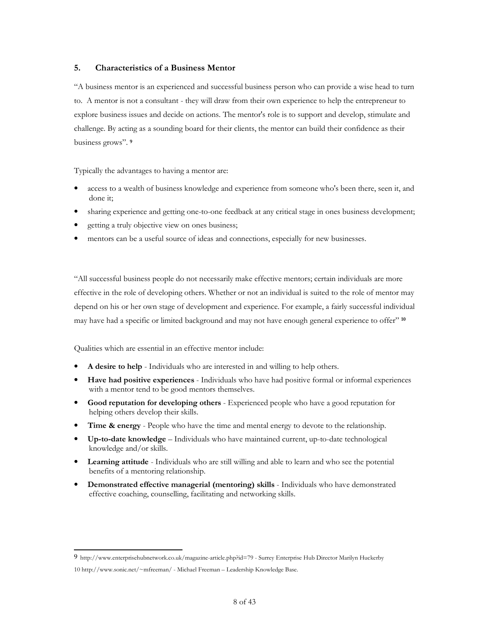## <span id="page-7-0"></span>5. Characteristics of a Business Mentor

"A business mentor is an experienced and successful business person who can provide a wise head to turn to. A mentor is not a consultant - they will draw from their own experience to help the entrepreneur to explore business issues and decide on actions. The mentor's role is to support and develop, stimulate and challenge. By acting as a sounding board for their clients, the mentor can build their confidence as their business grows". <sup>9</sup>

Typically the advantages to having a mentor are:

- access to a wealth of business knowledge and experience from someone who's been there, seen it, and done it;
- sharing experience and getting one-to-one feedback at any critical stage in ones business development;
- getting a truly objective view on ones business;
- mentors can be a useful source of ideas and connections, especially for new businesses.

"All successful business people do not necessarily make effective mentors; certain individuals are more effective in the role of developing others. Whether or not an individual is suited to the role of mentor may depend on his or her own stage of development and experience. For example, a fairly successful individual may have had a specific or limited background and may not have enough general experience to offer" <sup>10</sup>

Qualities which are essential in an effective mentor include:

 $\overline{a}$ 

- A desire to help Individuals who are interested in and willing to help others.
- Have had positive experiences Individuals who have had positive formal or informal experiences with a mentor tend to be good mentors themselves.
- Good reputation for developing others Experienced people who have a good reputation for helping others develop their skills.
- **Time & energy** People who have the time and mental energy to devote to the relationship.
- Up-to-date knowledge Individuals who have maintained current, up-to-date technological knowledge and/or skills.
- **Learning attitude** Individuals who are still willing and able to learn and who see the potential benefits of a mentoring relationship.
- Demonstrated effective managerial (mentoring) skills Individuals who have demonstrated effective coaching, counselling, facilitating and networking skills.

<sup>9</sup> http://www.enterprisehubnetwork.co.uk/magazine-article.php?id=79 - Surrey Enterprise Hub Director Marilyn Huckerby 10 http://www.sonic.net/~mfreeman/ - Michael Freeman – Leadership Knowledge Base.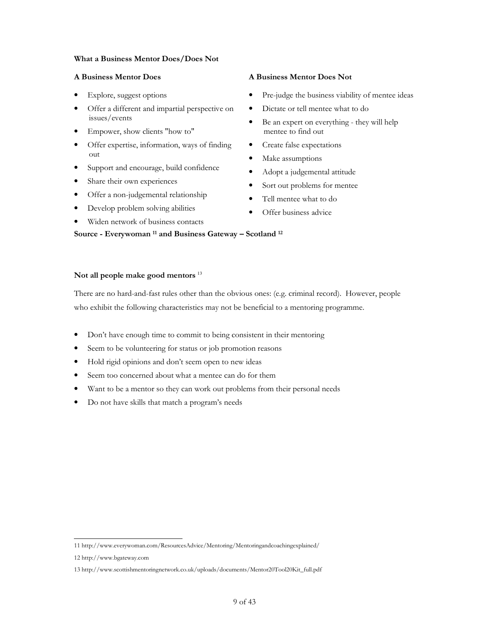## What a Business Mentor Does/Does Not

- Explore, suggest options
- Offer a different and impartial perspective on issues/events
- Empower, show clients "how to"
- Offer expertise, information, ways of finding out
- Support and encourage, build confidence
- Share their own experiences
- Offer a non-judgemental relationship
- Develop problem solving abilities
- Widen network of business contacts

## A Business Mentor Does A Business Mentor Does Not

- Pre-judge the business viability of mentee ideas
- Dictate or tell mentee what to do
- Be an expert on everything they will help mentee to find out
- Create false expectations
- Make assumptions
- Adopt a judgemental attitude
- Sort out problems for mentee
- Tell mentee what to do
- Offer business advice

## Not all people make good mentors  $^{13}$

There are no hard-and-fast rules other than the obvious ones: (e.g. criminal record). However, people who exhibit the following characteristics may not be beneficial to a mentoring programme.

- Don't have enough time to commit to being consistent in their mentoring
- Seem to be volunteering for status or job promotion reasons

Source - Everywoman 11 and Business Gateway – Scotland <sup>12</sup>

- Hold rigid opinions and don't seem open to new ideas
- Seem too concerned about what a mentee can do for them
- Want to be a mentor so they can work out problems from their personal needs
- Do not have skills that match a program's needs

 $\overline{a}$ 11 http://www.everywoman.com/ResourcesAdvice/Mentoring/Mentoringandcoachingexplained/

<sup>12</sup> http://www.bgateway.com

<sup>13</sup> http://www.scottishmentoringnetwork.co.uk/uploads/documents/Mentor20Tool20Kit\_full.pdf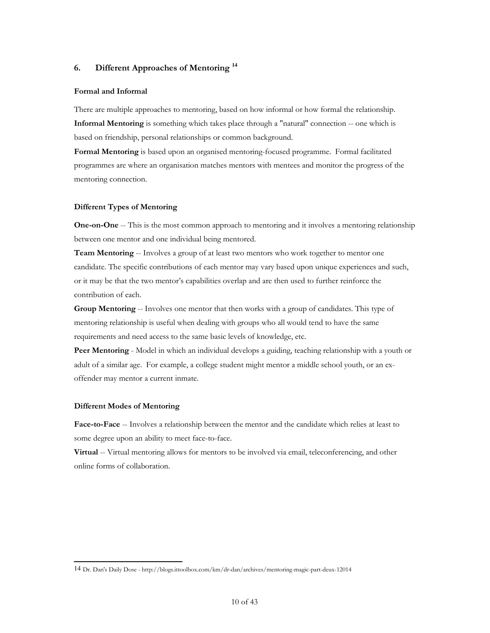## <span id="page-9-0"></span>6. Different Approaches of Mentoring **<sup>14</sup>**

## Formal and Informal

There are multiple approaches to mentoring, based on how informal or how formal the relationship. Informal Mentoring is something which takes place through a "natural" connection -- one which is based on friendship, personal relationships or common background.

Formal Mentoring is based upon an organised mentoring-focused programme. Formal facilitated programmes are where an organisation matches mentors with mentees and monitor the progress of the mentoring connection.

#### Different Types of Mentoring

**One-on-One** -- This is the most common approach to mentoring and it involves a mentoring relationship between one mentor and one individual being mentored.

Team Mentoring -- Involves a group of at least two mentors who work together to mentor one candidate. The specific contributions of each mentor may vary based upon unique experiences and such, or it may be that the two mentor's capabilities overlap and are then used to further reinforce the contribution of each.

Group Mentoring -- Involves one mentor that then works with a group of candidates. This type of mentoring relationship is useful when dealing with groups who all would tend to have the same requirements and need access to the same basic levels of knowledge, etc.

Peer Mentoring - Model in which an individual develops a guiding, teaching relationship with a youth or adult of a similar age. For example, a college student might mentor a middle school youth, or an exoffender may mentor a current inmate.

#### Different Modes of Mentoring

Face-to-Face -- Involves a relationship between the mentor and the candidate which relies at least to some degree upon an ability to meet face-to-face.

Virtual -- Virtual mentoring allows for mentors to be involved via email, teleconferencing, and other online forms of collaboration.

j 14 Dr. Dan's Daily Dose - http://blogs.ittoolbox.com/km/dr-dan/archives/mentoring-magic-part-deux-12014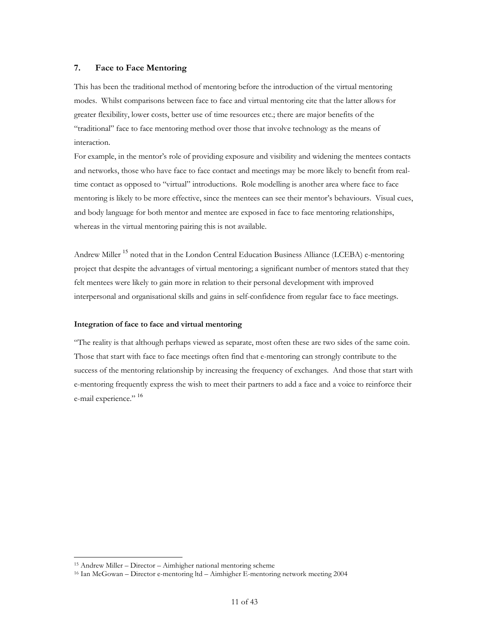## <span id="page-10-0"></span>7. Face to Face Mentoring

This has been the traditional method of mentoring before the introduction of the virtual mentoring modes. Whilst comparisons between face to face and virtual mentoring cite that the latter allows for greater flexibility, lower costs, better use of time resources etc.; there are major benefits of the "traditional" face to face mentoring method over those that involve technology as the means of interaction.

For example, in the mentor's role of providing exposure and visibility and widening the mentees contacts and networks, those who have face to face contact and meetings may be more likely to benefit from realtime contact as opposed to "virtual" introductions. Role modelling is another area where face to face mentoring is likely to be more effective, since the mentees can see their mentor's behaviours. Visual cues, and body language for both mentor and mentee are exposed in face to face mentoring relationships, whereas in the virtual mentoring pairing this is not available.

Andrew Miller <sup>15</sup> noted that in the London Central Education Business Alliance (LCEBA) e-mentoring project that despite the advantages of virtual mentoring; a significant number of mentors stated that they felt mentees were likely to gain more in relation to their personal development with improved interpersonal and organisational skills and gains in self-confidence from regular face to face meetings.

#### Integration of face to face and virtual mentoring

"The reality is that although perhaps viewed as separate, most often these are two sides of the same coin. Those that start with face to face meetings often find that e-mentoring can strongly contribute to the success of the mentoring relationship by increasing the frequency of exchanges. And those that start with e-mentoring frequently express the wish to meet their partners to add a face and a voice to reinforce their e-mail experience." 16

 $\overline{a}$ 

<sup>15</sup> Andrew Miller – Director – Aimhigher national mentoring scheme

<sup>16</sup> Ian McGowan – Director e-mentoring ltd – Aimhigher E-mentoring network meeting 2004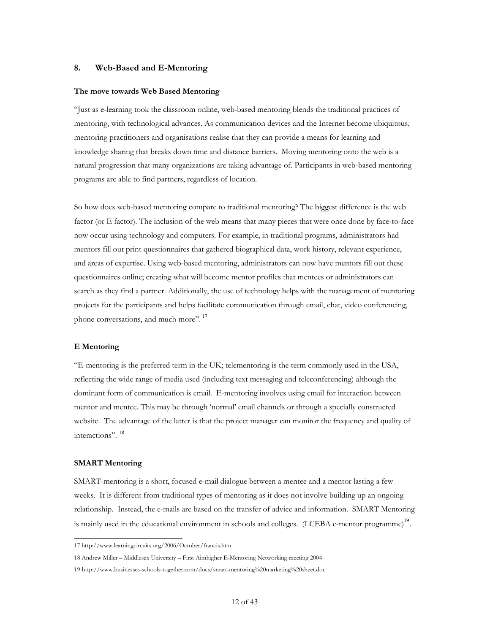## <span id="page-11-0"></span>8. Web-Based and E-Mentoring

#### The move towards Web Based Mentoring

"Just as e-learning took the classroom online, web-based mentoring blends the traditional practices of mentoring, with technological advances. As communication devices and the Internet become ubiquitous, mentoring practitioners and organisations realise that they can provide a means for learning and knowledge sharing that breaks down time and distance barriers. Moving mentoring onto the web is a natural progression that many organizations are taking advantage of. Participants in web-based mentoring programs are able to find partners, regardless of location.

So how does web-based mentoring compare to traditional mentoring? The biggest difference is the web factor (or E factor). The inclusion of the web means that many pieces that were once done by face-to-face now occur using technology and computers. For example, in traditional programs, administrators had mentors fill out print questionnaires that gathered biographical data, work history, relevant experience, and areas of expertise. Using web-based mentoring, administrators can now have mentors fill out these questionnaires online; creating what will become mentor profiles that mentees or administrators can search as they find a partner. Additionally, the use of technology helps with the management of mentoring projects for the participants and helps facilitate communication through email, chat, video conferencing, phone conversations, and much more".<sup>17</sup>

#### E Mentoring

"E-mentoring is the preferred term in the UK; telementoring is the term commonly used in the USA, reflecting the wide range of media used (including text messaging and teleconferencing) although the dominant form of communication is email. E-mentoring involves using email for interaction between mentor and mentee. This may be through 'normal' email channels or through a specially constructed website. The advantage of the latter is that the project manager can monitor the frequency and quality of interactions". <sup>18</sup>

#### SMART Mentoring

 $\overline{a}$ 

SMART-mentoring is a short, focused e-mail dialogue between a mentee and a mentor lasting a few weeks. It is different from traditional types of mentoring as it does not involve building up an ongoing relationship. Instead, the e-mails are based on the transfer of advice and information. SMART Mentoring is mainly used in the educational environment in schools and colleges. (LCEBA e-mentor programme) $^{19}$ .

<sup>17</sup> http://www.learningcircuits.org/2006/October/francis.htm

<sup>18</sup> Andrew Miller – Middlesex University – First Aimhigher E-Mentoring Networking meeting 2004

<sup>19</sup> http://www.businesses-schools-together.com/docs/smart-mentoring%20marketing%20sheet.doc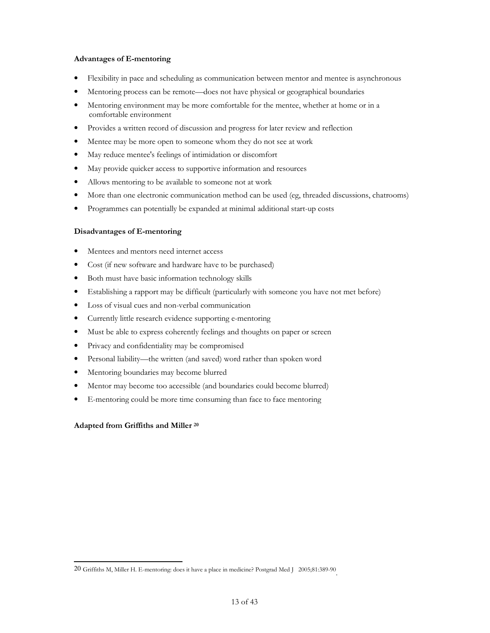## Advantages of E-mentoring

- Flexibility in pace and scheduling as communication between mentor and mentee is asynchronous
- Mentoring process can be remote—does not have physical or geographical boundaries
- Mentoring environment may be more comfortable for the mentee, whether at home or in a comfortable environment
- Provides a written record of discussion and progress for later review and reflection
- Mentee may be more open to someone whom they do not see at work
- May reduce mentee's feelings of intimidation or discomfort
- May provide quicker access to supportive information and resources
- Allows mentoring to be available to someone not at work
- More than one electronic communication method can be used (eg, threaded discussions, chatrooms)
- Programmes can potentially be expanded at minimal additional start-up costs

## Disadvantages of E-mentoring

- Mentees and mentors need internet access
- Cost (if new software and hardware have to be purchased)
- Both must have basic information technology skills
- Establishing a rapport may be difficult (particularly with someone you have not met before)
- Loss of visual cues and non-verbal communication
- Currently little research evidence supporting e-mentoring
- Must be able to express coherently feelings and thoughts on paper or screen
- Privacy and confidentiality may be compromised
- Personal liability—the written (and saved) word rather than spoken word
- Mentoring boundaries may become blurred
- Mentor may become too accessible (and boundaries could become blurred)
- E-mentoring could be more time consuming than face to face mentoring

## Adapted from Griffiths and Miller <sup>20</sup>

j 20 Griffiths M, Miller H. E-mentoring: does it have a place in medicine? Postgrad Med J 2005;81:389-90 .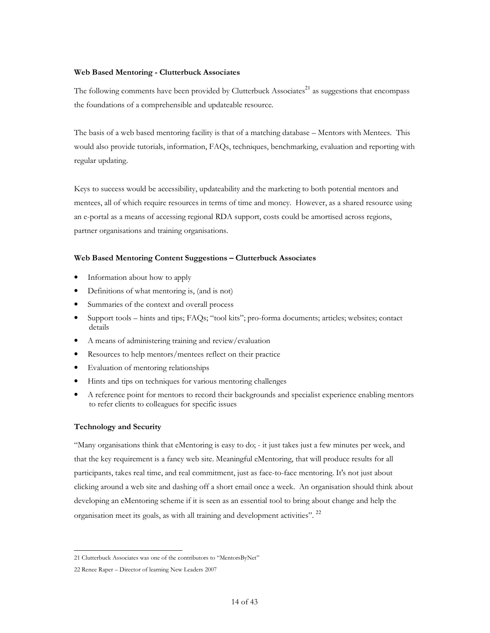### Web Based Mentoring - Clutterbuck Associates

The following comments have been provided by Clutterbuck Associates<sup>21</sup> as suggestions that encompass the foundations of a comprehensible and updateable resource.

The basis of a web based mentoring facility is that of a matching database – Mentors with Mentees. This would also provide tutorials, information, FAQs, techniques, benchmarking, evaluation and reporting with regular updating.

Keys to success would be accessibility, updateability and the marketing to both potential mentors and mentees, all of which require resources in terms of time and money. However, as a shared resource using an e-portal as a means of accessing regional RDA support, costs could be amortised across regions, partner organisations and training organisations.

#### Web Based Mentoring Content Suggestions – Clutterbuck Associates

- Information about how to apply
- Definitions of what mentoring is, (and is not)
- Summaries of the context and overall process
- Support tools hints and tips; FAQs; "tool kits"; pro-forma documents; articles; websites; contact details
- A means of administering training and review/evaluation
- Resources to help mentors/mentees reflect on their practice
- Evaluation of mentoring relationships
- Hints and tips on techniques for various mentoring challenges
- A reference point for mentors to record their backgrounds and specialist experience enabling mentors to refer clients to colleagues for specific issues

### Technology and Security

"Many organisations think that eMentoring is easy to do; - it just takes just a few minutes per week, and that the key requirement is a fancy web site. Meaningful eMentoring, that will produce results for all participants, takes real time, and real commitment, just as face-to-face mentoring. It's not just about clicking around a web site and dashing off a short email once a week. An organisation should think about developing an eMentoring scheme if it is seen as an essential tool to bring about change and help the organisation meet its goals, as with all training and development activities". <sup>22</sup>

j 21 Clutterbuck Associates was one of the contributors to "MentorsByNet"

<sup>22</sup> Renee Raper – Director of learning New Leaders 2007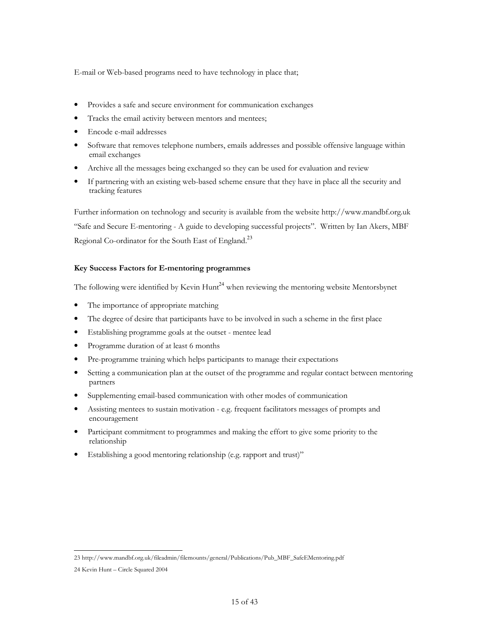E-mail or Web-based programs need to have technology in place that;

- Provides a safe and secure environment for communication exchanges
- Tracks the email activity between mentors and mentees;
- Encode e-mail addresses
- Software that removes telephone numbers, emails addresses and possible offensive language within email exchanges
- Archive all the messages being exchanged so they can be used for evaluation and review
- If partnering with an existing web-based scheme ensure that they have i[n place all the security and](http://www.mandbf.org.uk/)  tracking features

Further information on technology and security is available from the website http://www.mandbf.org.uk "Safe and Secure E-mentoring - A guide to developing successful projects". Written by Ian Akers, MBF Regional Co-ordinator for the South East of England.<sup>23</sup>

## Key Success Factors for E-mentoring programmes

The following were identified by Kevin  $\text{Hunt}^{24}$  when reviewing the mentoring website Mentorsbynet

- The importance of appropriate matching
- The degree of desire that participants have to be involved in such a scheme in the first place
- Establishing programme goals at the outset mentee lead
- Programme duration of at least 6 months
- Pre-programme training which helps participants to manage their expectations
- Setting a communication plan at the outset of the programme and regular contact between mentoring partners
- Supplementing email-based communication with other modes of communication
- Assisting mentees to sustain motivation e.g. frequent facilitators messages of prompts and encouragement
- Participant commitment to programmes and making the effort to give some priority to the relationship
- Establishing a good mentoring relationship (e.g. rapport and trust)"

j 23 http://www.mandbf.org.uk/fileadmin/filemounts/general/Publications/Pub\_MBF\_SafeEMentoring.pdf

<sup>24</sup> Kevin Hunt – Circle Squared 2004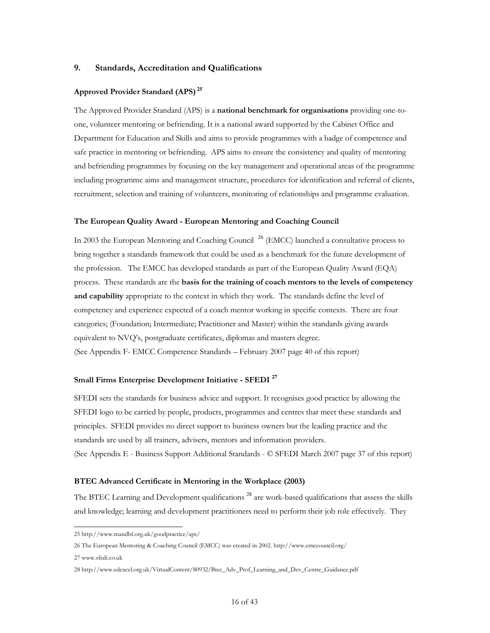## <span id="page-15-0"></span>9. Standards, Accreditation and Qualifications

## Approved Provider Standard (APS)**<sup>25</sup>**

The Approved Provider Standard (APS) is a national benchmark for organisations providing one-toone, volunteer mentoring or befriending. It is a national award supported by the Cabinet Office and Department for Education and Skills and aims to provide programmes with a badge of competence and safe practice in mentoring or befriending. APS aims to ensure the consistency and quality of mentoring and befriending programmes by focusing on the key management and operational areas of the programme including programme aims and management structure, procedures for identification and referral of clients, recruitment, selection and training of volunteers, monitoring of relationships and programme evaluation.

#### The European Quality Award - European Mentoring and Coaching Council

In 2003 the European Mentoring and Coaching Council <sup>26</sup> (EMCC) launched a consultative process to bring together a standards framework that could be used as a benchmark for the future development of the profession. The EMCC has developed standards as part of the European Quality Award (EQA) process. These standards are the basis for the training of coach mentors to the levels of competency and capability appropriate to the context in which they work. The standards define the level of competency and experience expected of a coach mentor working in specific contexts. There are four categories; (Foundation; Intermediate; Practitioner and Master) within the standards giving awards equivalent to NVQ's, postgraduate certificates, diplomas and masters degree. (See Appendix F- EMCC Competence Standards – February 2007 page 40 of this report)

## Small Firms Enterprise Development Initiative - SFEDI **<sup>27</sup>**

SFEDI sets the standards for business advice and support. It recognises good practice by allowing the SFEDI logo to be carried by people, products, programmes and centres that meet these standards and principles. SFEDI provides no direct support to business owners but the leading practice and the standards are used by all trainers, advisers, mentors and information providers. (See Appendix E - Business Support Additional Standards - © SFEDI March 2007 page 37 of this report)

#### BTEC Advanced Certificate in Mentoring in the Workplace (2003)

The BTEC Learning and Development qualifications<sup>28</sup> are work-based qualifications that assess the skills and knowledge; learning and development practitioners need to perform their job role effectively. They

j 25 http://www.mandbf.org.uk/goodpractice/aps/

<sup>26</sup> The European Mentoring & Coaching Council (EMCC) was created in 2002. http://www.emccouncil.org/

<sup>27</sup> www.sfedi.co.uk

<sup>28</sup> http://www.edexcel.org.uk/VirtualContent/80932/Btec\_Adv\_Prof\_Learning\_and\_Dev\_Centre\_Guidance.pdf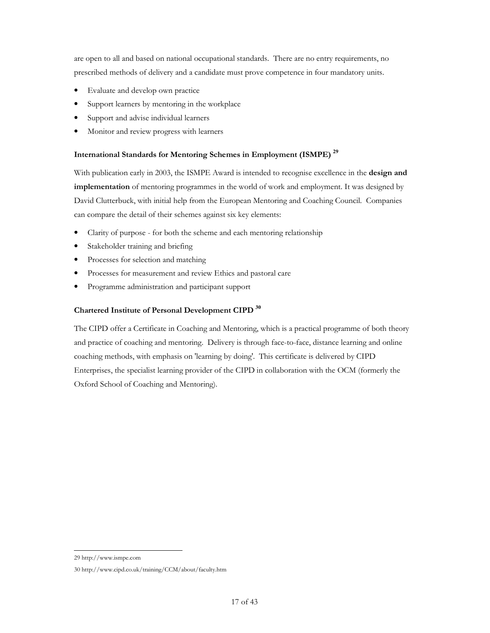are open to all and based on national occupational standards. There are no entry requirements, no prescribed methods of delivery and a candidate must prove competence in four mandatory units.

- Evaluate and develop own practice
- Support learners by mentoring in the workplace
- Support and advise individual learners
- Monitor and review progress with learners

## International Standards for Mentoring Schemes in Employment (ISMPE) **<sup>29</sup>**

With publication early in 2003, the ISMPE Award is intended to recognise excellence in the **design and** implementation of mentoring programmes in the world of work and employment. It was designed by David Clutterbuck, with initial help from the European Mentoring and Coaching Council. Companies can compare the detail of their schemes against six key elements:

- Clarity of purpose for both the scheme and each mentoring relationship
- Stakeholder training and briefing
- Processes for selection and matching
- Processes for measurement and review Ethics and pastoral care
- Programme administration and participant support

## Chartered Institute of Personal Development CIPD **<sup>30</sup>**

The CIPD offer a Certificate in Coaching and Mentoring, which is a practical programme of both theory and practice of coaching and mentoring. Delivery is through face-to-face, distance learning and online coaching methods, with emphasis on 'learning by doing'. This certificate is delivered by CIPD Enterprises, the specialist learning provider of the CIPD in collaboration with the OCM (formerly the Oxford School of Coaching and Mentoring).

j 29 http://www.ismpe.com

<sup>30</sup> http://www.cipd.co.uk/training/CCM/about/faculty.htm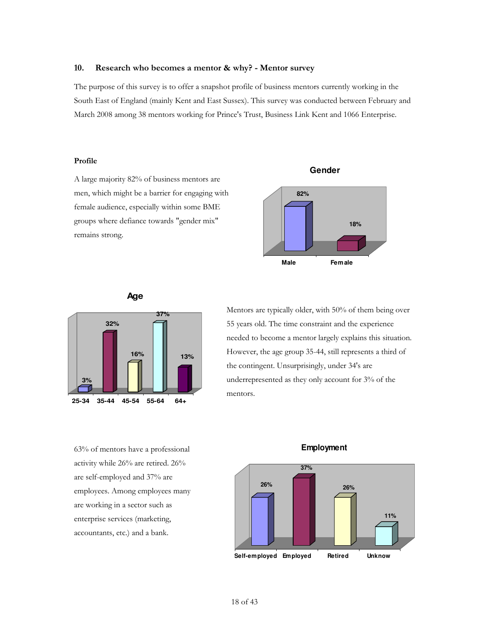## <span id="page-17-0"></span>10. Research who becomes a mentor & why? - Mentor survey

The purpose of this survey is to offer a snapshot profile of business mentors currently working in the South East of England (mainly Kent and East Sussex). This survey was conducted between February and March 2008 among 38 mentors working for Prince's Trust, Business Link Kent and 1066 Enterprise.

### Profile

A large majority 82% of business mentors are men, which might be a barrier for engaging with female audience, especially within some BME groups where defiance towards "gender mix" remains strong.



**Gender**

## **Age**



63% of mentors have a professional activity while 26% are retired. 26% are self-employed and 37% are employees. Among employees many are working in a sector such as enterprise services (marketing, accountants, etc.) and a bank.

Mentors are typically older, with 50% of them being over 55 years old. The time constraint and the experience needed to become a mentor largely explains this situation. However, the age group 35-44, still represents a third of the contingent. Unsurprisingly, under 34's are underrepresented as they only account for 3% of the mentors.



## **Employment**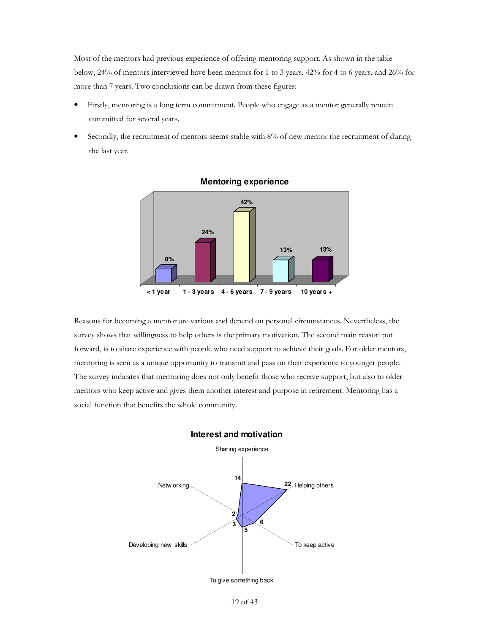Most of the mentors had previous experience of offering mentoring support. As shown in the table below, 24% of mentors interviewed have been mentors for 1 to 3 years, 42% for 4 to 6 years, and 26% for more than 7 years. Two conclusions can be drawn from these figures:

- Firstly, mentoring is a long term commitment. People who engage as a mentor generally remain committed for several years.
- Secondly, the recruitment of mentors seems stable with 8% of new mentor the recruitment of during the last year.



## **Mentoring experience**

Reasons for becoming a mentor are various and depend on personal circumstances. Nevertheless, the survey shows that willingness to help others is the primary motivation. The second main reason put forward, is to share experience with people who need support to achieve their goals. For older mentors, mentoring is seen as a unique opportunity to transmit and pass on their experience to younger people. The survey indicates that mentoring does not only benefit those who receive support, but also to older mentors who keep active and gives them another interest and purpose in retirement. Mentoring has a social function that benefits the whole community.

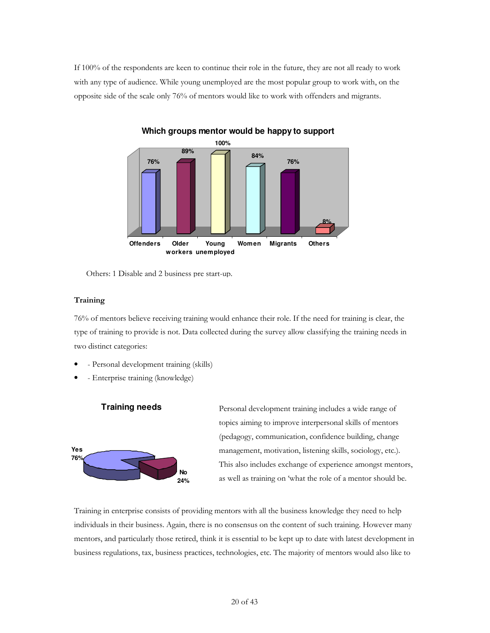If 100% of the respondents are keen to continue their role in the future, they are not all ready to work with any type of audience. While young unemployed are the most popular group to work with, on the opposite side of the scale only 76% of mentors would like to work with offenders and migrants.



**Which groups mentor would be happy to support**

Others: 1 Disable and 2 business pre start-up.

## **Training**

76% of mentors believe receiving training would enhance their role. If the need for training is clear, the type of training to provide is not. Data collected during the survey allow classifying the training needs in two distinct categories:

- - Personal development training (skills)
- - Enterprise training (knowledge)

**Training needs**



Personal development training includes a wide range of topics aiming to improve interpersonal skills of mentors (pedagogy, communication, confidence building, change management, motivation, listening skills, sociology, etc.). This also includes exchange of experience amongst mentors, as well as training on 'what the role of a mentor should be.

Training in enterprise consists of providing mentors with all the business knowledge they need to help individuals in their business. Again, there is no consensus on the content of such training. However many mentors, and particularly those retired, think it is essential to be kept up to date with latest development in business regulations, tax, business practices, technologies, etc. The majority of mentors would also like to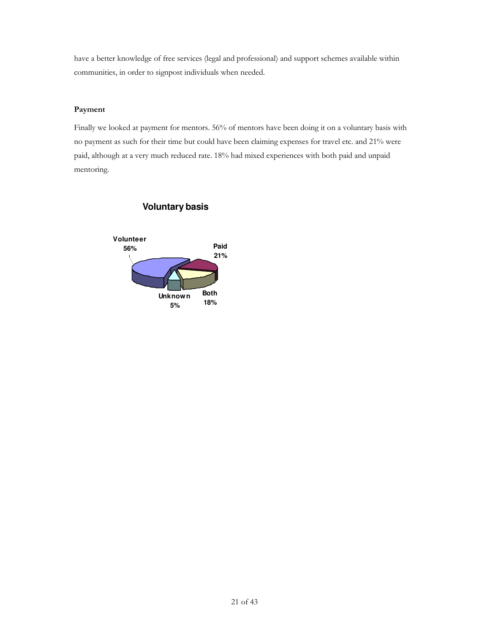have a better knowledge of free services (legal and professional) and support schemes available within communities, in order to signpost individuals when needed.

## Payment

Finally we looked at payment for mentors. 56% of mentors have been doing it on a voluntary basis with no payment as such for their time but could have been claiming expenses for travel etc. and 21% were paid, although at a very much reduced rate. 18% had mixed experiences with both paid and unpaid mentoring.



## **Voluntary basis**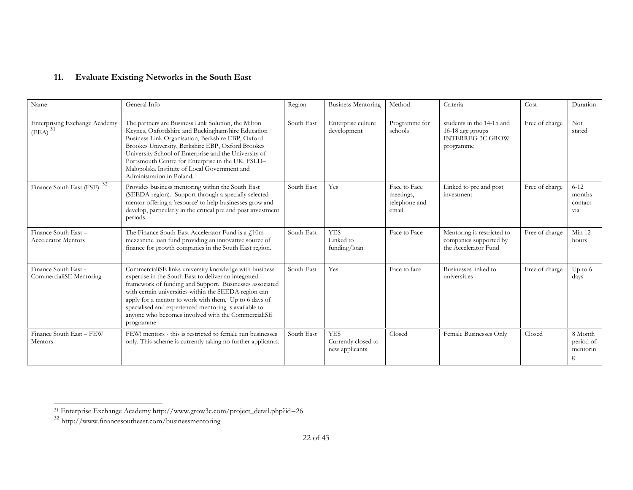#### <span id="page-21-0"></span>11.Evaluate Existing Networks in the South East

| Name                                                       | General Info                                                                                                                                                                                                                                                                                                                                                                                                            | Region     | <b>Business Mentoring</b>                           | Method                                              | Criteria                                                                              | Cost           | Duration                              |
|------------------------------------------------------------|-------------------------------------------------------------------------------------------------------------------------------------------------------------------------------------------------------------------------------------------------------------------------------------------------------------------------------------------------------------------------------------------------------------------------|------------|-----------------------------------------------------|-----------------------------------------------------|---------------------------------------------------------------------------------------|----------------|---------------------------------------|
| Enterprising Exchange Academy<br>$(EEA)^{1}$ <sup>31</sup> | The partners are Business Link Solution, the Milton<br>Keynes, Oxfordshire and Buckinghamshire Education<br>Business Link Organisation, Berkshire EBP, Oxford<br>Brookes University, Berkshire EBP, Oxford Brookes<br>University School of Enterprise and the University of<br>Portsmouth Centre for Enterprise in the UK, FSLD-<br>Malopolska Institute of Local Government and<br>Administration in Poland.           | South East | Enterprise culture<br>development                   | Programme for<br>schools                            | students in the 14-15 and<br>16-18 age groups<br><b>INTERREG 3C GROW</b><br>programme | Free of charge | Not.<br>stated                        |
| 32<br>Finance South East (FSE)                             | Provides business mentoring within the South East<br>(SEEDA region). Support through a specially selected<br>mentor offering a 'resource' to help businesses grow and<br>develop, particularly in the critical pre and post investment<br>periods.                                                                                                                                                                      | South East | Yes                                                 | Face to Face<br>meetings,<br>telephone and<br>email | Linked to pre and post<br>investment                                                  | Free of charge | $6 - 12$<br>months<br>contact<br>via  |
| Finance South East-<br><b>Accelerator Mentors</b>          | The Finance South East Accelerator Fund is a $\text{\textsterling}10\text{m}$<br>mezzanine loan fund providing an innovative source of<br>finance for growth companies in the South East region.                                                                                                                                                                                                                        | South East | <b>YES</b><br>Linked to<br>funding/loan             | Face to Face                                        | Mentoring is restricted to<br>companies supported by<br>the Accelerator Fund          | Free of charge | Min 12<br>hours                       |
| Finance South East -<br>CommercialiSE Mentoring            | CommercialiSE links university knowledge with business<br>expertise in the South East to deliver an integrated<br>framework of funding and Support. Businesses associated<br>with certain universities within the SEEDA region can<br>apply for a mentor to work with them. Up to 6 days of<br>specialised and experienced mentoring is available to<br>anyone who becomes involved with the CommercialiSE<br>programme | South East | Yes                                                 | Face to face                                        | Businesses linked to<br>universities                                                  | Free of charge | Up to $6\,$<br>days                   |
| Finance South East - FEW<br>Mentors                        | FEW! mentors - this is restricted to female run businesses<br>only. This scheme is currently taking no further applicants.                                                                                                                                                                                                                                                                                              | South East | <b>YES</b><br>Currently closed to<br>new applicants | Closed                                              | Female Businesses Only                                                                | Closed         | 8 Month<br>period of<br>mentorin<br>g |

<sup>&</sup>lt;sup>31</sup> Enterprise Exchange Academy http://www.grow3c.com/project\_detail.php?id=26<br><sup>32</sup> http://www.financesoutheast.com/businessmentoring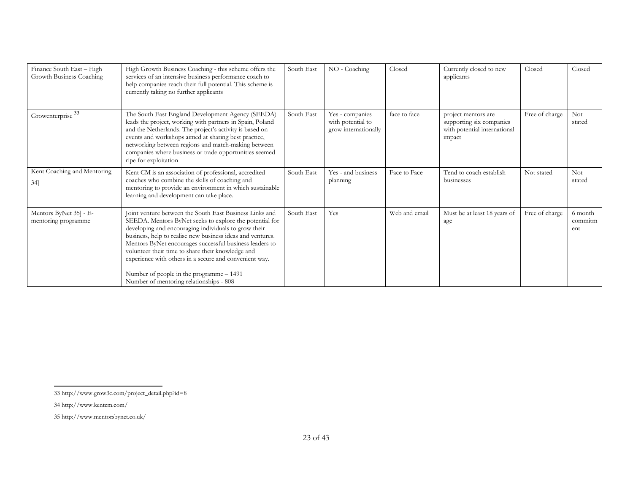| Finance South East - High<br>Growth Business Coaching | High Growth Business Coaching - this scheme offers the<br>services of an intensive business performance coach to<br>help companies reach their full potential. This scheme is<br>currently taking no further applicants                                                                                                                                                                                                                                                                                   | South East | NO - Coaching                                                | Closed        | Currently closed to new<br>applicants                                                     | Closed         | Closed                    |
|-------------------------------------------------------|-----------------------------------------------------------------------------------------------------------------------------------------------------------------------------------------------------------------------------------------------------------------------------------------------------------------------------------------------------------------------------------------------------------------------------------------------------------------------------------------------------------|------------|--------------------------------------------------------------|---------------|-------------------------------------------------------------------------------------------|----------------|---------------------------|
| Growenterprise <sup>33</sup>                          | The South East England Development Agency (SEEDA)<br>leads the project, working with partners in Spain, Poland<br>and the Netherlands. The project's activity is based on<br>events and workshops aimed at sharing best practice,<br>networking between regions and match-making between<br>companies where business or trade opportunities seemed<br>ripe for exploitation                                                                                                                               | South East | Yes - companies<br>with potential to<br>grow internationally | face to face  | project mentors are<br>supporting six companies<br>with potential international<br>impact | Free of charge | <b>Not</b><br>stated      |
| Kent Coaching and Mentoring<br>$34$ ]                 | Kent CM is an association of professional, accredited<br>coaches who combine the skills of coaching and<br>mentoring to provide an environment in which sustainable<br>learning and development can take place.                                                                                                                                                                                                                                                                                           | South East | Yes - and business<br>planning                               | Face to Face  | Tend to coach establish<br>businesses                                                     | Not stated     | <b>Not</b><br>stated      |
| Mentors ByNet 35] - E-<br>mentoring programme         | Joint venture between the South East Business Links and<br>SEEDA. Mentors ByNet seeks to explore the potential for<br>developing and encouraging individuals to grow their<br>business, help to realise new business ideas and ventures.<br>Mentors ByNet encourages successful business leaders to<br>volunteer their time to share their knowledge and<br>experience with others in a secure and convenient way.<br>Number of people in the programme - 1491<br>Number of mentoring relationships - 808 | South East | Yes                                                          | Web and email | Must be at least 18 years of<br>age                                                       | Free of charge | 6 month<br>commitm<br>ent |

<sup>33</sup> http://www.grow3c.com/project\_detail.php?id=8

<sup>34</sup> http://www.kentcm.com/

<sup>35</sup> http://www.mentorsbynet.co.uk/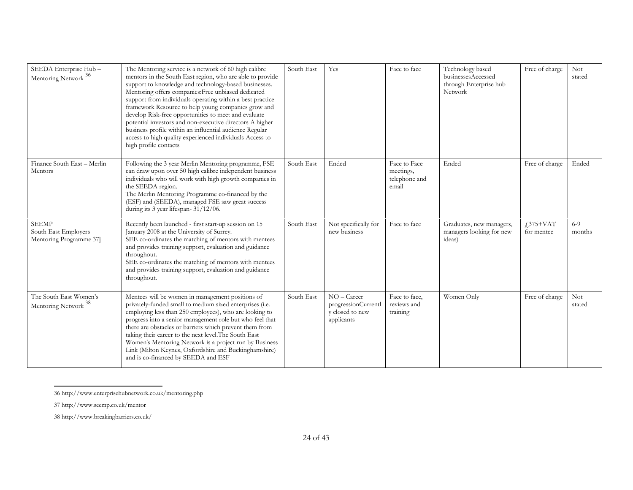| SEEDA Enterprise Hub-<br>Mentoring Network <sup>36</sup>       | The Mentoring service is a network of 60 high calibre<br>mentors in the South East region, who are able to provide<br>support to knowledge and technology-based businesses.<br>Mentoring offers companies: Free unbiased dedicated<br>support from individuals operating within a best practice<br>framework Resource to help young companies grow and<br>develop Risk-free opportunities to meet and evaluate<br>potential investors and non-executive directors A higher<br>business profile within an influential audience Regular<br>access to high quality experienced individuals Access to<br>high profile contacts | South East | Yes                                                                   | Face to face                                        | Technology based<br>businessesAccessed<br>through Enterprise hub<br>Network | Free of charge           | <b>Not</b><br>stated |
|----------------------------------------------------------------|----------------------------------------------------------------------------------------------------------------------------------------------------------------------------------------------------------------------------------------------------------------------------------------------------------------------------------------------------------------------------------------------------------------------------------------------------------------------------------------------------------------------------------------------------------------------------------------------------------------------------|------------|-----------------------------------------------------------------------|-----------------------------------------------------|-----------------------------------------------------------------------------|--------------------------|----------------------|
| Finance South East - Merlin<br>Mentors                         | Following the 3 year Merlin Mentoring programme, FSE<br>can draw upon over 50 high calibre independent business<br>individuals who will work with high growth companies in<br>the SEEDA region.<br>The Merlin Mentoring Programme co-financed by the<br>(ESF) and (SEEDA), managed FSE saw great success<br>during its $3$ year lifespan- $31/12/06$ .                                                                                                                                                                                                                                                                     | South East | Ended                                                                 | Face to Face<br>meetings,<br>telephone and<br>email | Ended                                                                       | Free of charge           | Ended                |
| <b>SEEMP</b><br>South East Employers<br>Mentoring Programme 37 | Recently been launched - first start-up session on 15<br>January 2008 at the University of Surrey.<br>SEE co-ordinates the matching of mentors with mentees<br>and provides training support, evaluation and guidance<br>throughout.<br>SEE co-ordinates the matching of mentors with mentees<br>and provides training support, evaluation and guidance<br>throughout.                                                                                                                                                                                                                                                     | South East | Not specifically for<br>new business                                  | Face to face                                        | Graduates, new managers,<br>managers looking for new<br>ideas)              | $£375+VAT$<br>for mentee | $6 - 9$<br>months    |
| The South East Women's<br>Mentoring Network <sup>38</sup>      | Mentees will be women in management positions of<br>privately-funded small to medium sized enterprises (i.e.<br>employing less than 250 employees), who are looking to<br>progress into a senior management role but who feel that<br>there are obstacles or barriers which prevent them from<br>taking their career to the next level. The South East<br>Women's Mentoring Network is a project run by Business<br>Link (Milton Keynes, Oxfordshire and Buckinghamshire)<br>and is co-financed by SEEDA and ESF                                                                                                           | South East | $NO - Career$<br>progressionCurrentl<br>y closed to new<br>applicants | Face to face,<br>reviews and<br>training            | Women Only                                                                  | Free of charge           | <b>Not</b><br>stated |

<sup>36</sup> http://www.enterprisehubnetwork.co.uk/mentoring.php

<sup>37</sup> http://www.seemp.co.uk/mentor

<sup>38</sup> http://www.breakingbarriers.co.uk/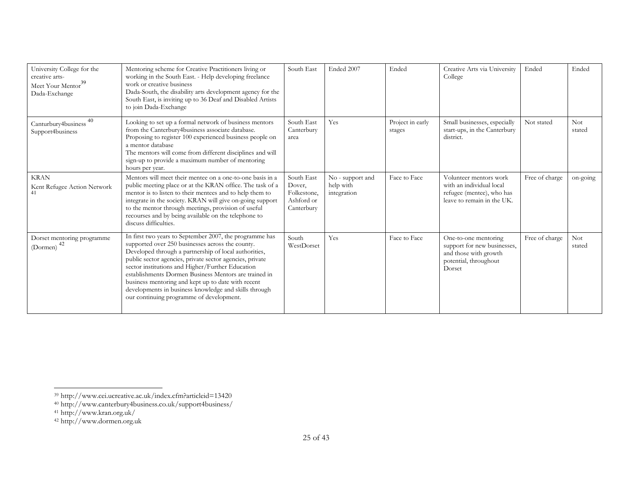| University College for the<br>creative arts-<br>Meet Your Mentor <sup>39</sup><br>Dada-Exchange | Mentoring scheme for Creative Practitioners living or<br>working in the South East. - Help developing freelance<br>work or creative business<br>Dada-South, the disability arts development agency for the<br>South East, is inviting up to 36 Deaf and Disabled Artists<br>to join Dada-Exchange                                                                                                                                                                                                        | South East                                                      | Ended 2007                                   | Ended                      | Creative Arts via University<br>College                                                                         | Ended          | Ended                |
|-------------------------------------------------------------------------------------------------|----------------------------------------------------------------------------------------------------------------------------------------------------------------------------------------------------------------------------------------------------------------------------------------------------------------------------------------------------------------------------------------------------------------------------------------------------------------------------------------------------------|-----------------------------------------------------------------|----------------------------------------------|----------------------------|-----------------------------------------------------------------------------------------------------------------|----------------|----------------------|
| 40<br>Canturbury4business<br>Support4business                                                   | Looking to set up a formal network of business mentors<br>from the Canterbury4business associate database.<br>Proposing to register 100 experienced business people on<br>a mentor database<br>The mentors will come from different disciplines and will<br>sign-up to provide a maximum number of mentoring<br>hours per year.                                                                                                                                                                          | South East<br>Canterbury<br>area                                | Yes                                          | Project in early<br>stages | Small businesses, especially<br>start-ups, in the Canterbury<br>district.                                       | Not stated     | Not<br>stated        |
| <b>KRAN</b><br>Kent Refugee Action Network                                                      | Mentors will meet their mentee on a one-to-one basis in a<br>public meeting place or at the KRAN office. The task of a<br>mentor is to listen to their mentees and to help them to<br>integrate in the society. KRAN will give on-going support<br>to the mentor through meetings, provision of useful<br>recourses and by being available on the telephone to<br>discuss difficulties.                                                                                                                  | South East<br>Dover,<br>Folkestone,<br>Ashford or<br>Canterbury | No - support and<br>help with<br>integration | Face to Face               | Volunteer mentors work<br>with an individual local<br>refugee (mentee), who has<br>leave to remain in the UK.   | Free of charge | on-going             |
| Dorset mentoring programme<br>(Dormen) $42$                                                     | In first two years to September 2007, the programme has<br>supported over 250 businesses across the county.<br>Developed through a partnership of local authorities,<br>public sector agencies, private sector agencies, private<br>sector institutions and Higher/Further Education<br>establishments Dormen Business Mentors are trained in<br>business mentoring and kept up to date with recent<br>developments in business knowledge and skills through<br>our continuing programme of development. | South<br>WestDorset                                             | Yes                                          | Face to Face               | One-to-one mentoring<br>support for new businesses,<br>and those with growth<br>potential, throughout<br>Dorset | Free of charge | <b>Not</b><br>stated |

<sup>39</sup> http://www.cei.ucreative.ac.uk/index.cfm?articleid=13420

<sup>40</sup> http://www.canterbury4business.co.uk/support4business/

<sup>41</sup> http://www.kran.org.uk/

<sup>42</sup> http://www.dormen.org.uk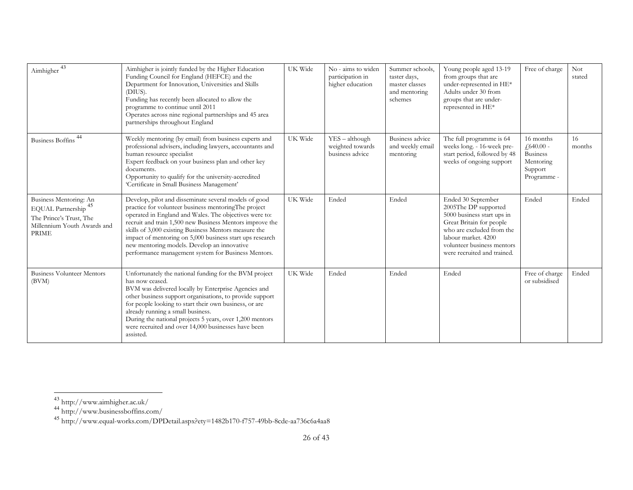| Aimhigher $\frac{43}{3}$                                                                                                     | Aimhigher is jointly funded by the Higher Education<br>Funding Council for England (HEFCE) and the<br>Department for Innovation, Universities and Skills<br>(DIUS).<br>Funding has recently been allocated to allow the<br>programme to continue until 2011<br>Operates across nine regional partnerships and 45 area<br>partnerships throughout England                                                                                                       | UK Wide | No - aims to widen<br>participation in<br>higher education | Summer schools,<br>taster days,<br>master classes<br>and mentoring<br>schemes | Young people aged 13-19<br>from groups that are<br>under-represented in HE*<br>Adults under 30 from<br>groups that are under-<br>represented in HE*                                                                   | Free of charge                                                                      | <b>Not</b><br>stated |
|------------------------------------------------------------------------------------------------------------------------------|----------------------------------------------------------------------------------------------------------------------------------------------------------------------------------------------------------------------------------------------------------------------------------------------------------------------------------------------------------------------------------------------------------------------------------------------------------------|---------|------------------------------------------------------------|-------------------------------------------------------------------------------|-----------------------------------------------------------------------------------------------------------------------------------------------------------------------------------------------------------------------|-------------------------------------------------------------------------------------|----------------------|
| <b>Business Boffins</b>                                                                                                      | Weekly mentoring (by email) from business experts and<br>professional advisers, including lawyers, accountants and<br>human resource specialist<br>Expert feedback on your business plan and other key<br>documents.<br>Opportunity to qualify for the university-accredited<br>'Certificate in Small Business Management'                                                                                                                                     | UK Wide | $YES - although$<br>weighted towards<br>business advice    | Business advice<br>and weekly email<br>mentoring                              | The full programme is 64<br>weeks long. - 16-week pre-<br>start period, followed by 48<br>weeks of ongoing support                                                                                                    | 16 months<br>$f$ 640.00 -<br><b>Business</b><br>Mentoring<br>Support<br>Programme - | 16<br>months         |
| Business Mentoring: An<br>EQUAL Partnership <sup>45</sup><br>The Prince's Trust, The<br>Millennium Youth Awards and<br>PRIME | Develop, pilot and disseminate several models of good<br>practice for volunteer business mentoringThe project<br>operated in England and Wales. The objectives were to:<br>recruit and train 1,500 new Business Mentors improve the<br>skills of 3,000 existing Business Mentors measure the<br>impact of mentoring on 5,000 business start ups research<br>new mentoring models. Develop an innovative<br>performance management system for Business Mentors. | UK Wide | Ended                                                      | Ended                                                                         | Ended 30 September<br>2005The DP supported<br>5000 business start ups in<br>Great Britain for people<br>who are excluded from the<br>labour market. 4200<br>volunteer business mentors<br>were recruited and trained. | Ended                                                                               | Ended                |
| <b>Business Volunteer Mentors</b><br>(BVM)                                                                                   | Unfortunately the national funding for the BVM project<br>has now ceased.<br>BVM was delivered locally by Enterprise Agencies and<br>other business support organisations, to provide support<br>for people looking to start their own business, or are<br>already running a small business.<br>During the national projects 5 years, over 1,200 mentors<br>were recruited and over 14,000 businesses have been<br>assisted.                                   | UK Wide | Ended                                                      | Ended                                                                         | Ended                                                                                                                                                                                                                 | Free of charge<br>or subsidised                                                     | Ended                |

<sup>43</sup> http://www.aimhigher.ac.uk/

<sup>44</sup> http://www.businessboffins.com/

<sup>45</sup> http://www.equal-works.com/DPDetail.aspx?ety=1482b170-f757-49bb-8cde-aa736c6a4aa8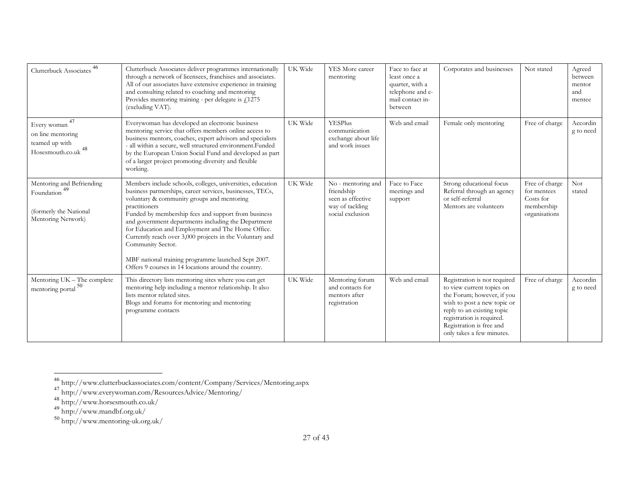| Clutterbuck Associates <sup>46</sup>                                                       | Clutterbuck Associates deliver programmes internationally<br>through a network of licensees, franchises and associates.<br>All of our associates have extensive experience in training<br>and consulting related to coaching and mentoring<br>Provides mentoring training - per delegate is $f(1275)$<br>(excluding VAT).                                                                                                                                                                                                                                 | UK Wide | YES More career<br>mentoring                                                                 | Face to face at<br>least once a<br>quarter, with a<br>telephone and e-<br>mail contact in-<br>between | Corporates and businesses                                                                                                                                                                                                                  | Not stated                                                                | Agreed<br>between<br>mentor<br>and<br>mentee |
|--------------------------------------------------------------------------------------------|-----------------------------------------------------------------------------------------------------------------------------------------------------------------------------------------------------------------------------------------------------------------------------------------------------------------------------------------------------------------------------------------------------------------------------------------------------------------------------------------------------------------------------------------------------------|---------|----------------------------------------------------------------------------------------------|-------------------------------------------------------------------------------------------------------|--------------------------------------------------------------------------------------------------------------------------------------------------------------------------------------------------------------------------------------------|---------------------------------------------------------------------------|----------------------------------------------|
| 47<br>Every woman<br>on line mentoring<br>teamed up with<br>Hosesmouth.co.uk <sup>48</sup> | Everywoman has developed an electronic business<br>mentoring service that offers members online access to<br>business mentors, coaches, expert advisors and specialists<br>- all within a secure, well structured environment.Funded<br>by the European Union Social Fund and developed as part<br>of a larger project promoting diversity and flexible<br>working.                                                                                                                                                                                       | UK Wide | YESPlus<br>communication<br>exchange about life<br>and work issues                           | Web and email                                                                                         | Female only mentoring                                                                                                                                                                                                                      | Free of charge                                                            | Accordin<br>g to need                        |
| Mentoring and Befriending<br>Foundation<br>(formerly the National<br>Mentoring Network)    | Members include schools, colleges, universities, education<br>business partnerships, career services, businesses, TECs,<br>voluntary & community groups and mentoring<br>practitioners<br>Funded by membership fees and support from business<br>and government departments including the Department<br>for Education and Employment and The Home Office.<br>Currently reach over 3,000 projects in the Voluntary and<br>Community Sector.<br>MBF national training programme launched Sept 2007.<br>Offers 9 courses in 14 locations around the country. | UK Wide | No - mentoring and<br>friendship<br>seen as effective<br>way of tackling<br>social exclusion | Face to Face<br>meetings and<br>support                                                               | Strong educational focus<br>Referral through an agency<br>or self-referral<br>Mentors are volunteers                                                                                                                                       | Free of charge<br>for mentees<br>Costs for<br>membership<br>organisations | <b>Not</b><br>stated                         |
| Mentoring UK - The complete<br>mentoring portal <sup>50</sup>                              | This directory lists mentoring sites where you can get<br>mentoring help including a mentor relationship. It also<br>lists mentor related sites.<br>Blogs and forums for mentoring and mentoring<br>programme contacts                                                                                                                                                                                                                                                                                                                                    | UK Wide | Mentoring forum<br>and contacts for<br>mentors after<br>registration                         | Web and email                                                                                         | Registration is not required<br>to view current topics on<br>the Forum; however, if you<br>wish to post a new topic or<br>reply to an existing topic<br>registration is required.<br>Registration is free and<br>only takes a few minutes. | Free of charge                                                            | Accordin<br>g to need                        |

<sup>46</sup> http://www.clutterbuckassociates.com/content/Company/Services/Mentoring.aspx

<sup>&</sup>lt;sup>47</sup> http://www.everywoman.com/ResourcesAdvice/Mentoring/

<sup>48</sup> http://www.horsesmouth.co.uk/

<sup>&</sup>lt;sup>49</sup> http://www.mandbf.org.uk/

<sup>50</sup> http://www.mentoring-uk.org.uk/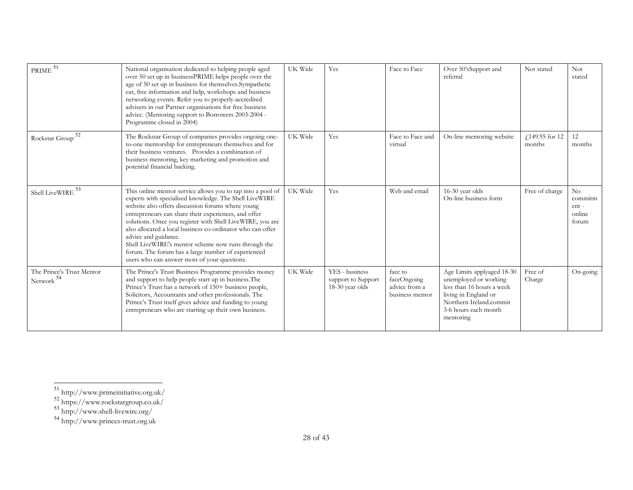| $\text{PRIME}$ $^{51}$                  | National organisation dedicated to helping people aged<br>over 50 set up in businessPRIME helps people over the<br>age of 50 set up in business for themselves.Sympathetic<br>ear, free information and help, workshops and business<br>networking events. Refer you to properly-accredited<br>advisers in our Partner organisations for free business<br>advice. (Mentoring support to Borrowers 2003-2004 -<br>Programme closed in 2004)                                                                                                         | UK Wide | Yes                                                     | Face to Face                                               | Over 50'sSupport and<br>referral                                                                                                                                         | Not stated               | <b>Not</b><br>stated                     |
|-----------------------------------------|----------------------------------------------------------------------------------------------------------------------------------------------------------------------------------------------------------------------------------------------------------------------------------------------------------------------------------------------------------------------------------------------------------------------------------------------------------------------------------------------------------------------------------------------------|---------|---------------------------------------------------------|------------------------------------------------------------|--------------------------------------------------------------------------------------------------------------------------------------------------------------------------|--------------------------|------------------------------------------|
| 52<br>Rockstar Group                    | The Rockstar Group of companies provides ongoing one-<br>to-one mentorship for entrepreneurs themselves and for<br>their business ventures. Provides a combination of<br>business mentoring, key marketing and promotion and<br>potential financial backing.                                                                                                                                                                                                                                                                                       | UK Wide | Yes                                                     | Face to Face and<br>virtual                                | On-line mentoring website                                                                                                                                                | £149.95 for 12<br>months | 12<br>months                             |
| Shell LiveWIRE $^{\rm 53}$              | This online mentor service allows you to tap into a pool of<br>experts with specialised knowledge. The Shell LiveWIRE<br>website also offers discussion forums where young<br>entrepreneurs can share their experiences, and offer<br>solutions. Once you register with Shell LiveWIRE, you are<br>also allocated a local business co-ordinator who can offer<br>advice and guidance.<br>Shell LiveWIRE's mentor scheme now runs through the<br>forum. The forum has a large number of experienced<br>users who can answer most of your questions. | UK Wide | Yes                                                     | Web and email                                              | 16-30 year olds<br>On-line business form                                                                                                                                 | Free of charge           | No<br>commitm<br>ent-<br>online<br>forum |
| The Prince's Trust Mentor<br>Network 54 | The Prince's Trust Business Programme provides money<br>and support to help people start up in business. The<br>Prince's Trust has a network of 150+ business people,<br>Solicitors, Accountants and other professionals. The<br>Prince's Trust itself gives advice and funding to young<br>entrepreneurs who are starting up their own business.                                                                                                                                                                                                  | UK Wide | YES - business<br>support to Support<br>18-30 year olds | face to<br>faceOngoing<br>advice from a<br>business mentor | Age Limits applyaged 18-30<br>unemployed or working<br>less than 16 hours a week<br>living in England or<br>Northern Ireland.commit<br>3-6 hours each month<br>mentoring | Free of<br>Charge        | On-going                                 |

<sup>51</sup> http://www.primeinitiative.org.uk/

<sup>52</sup> https://www.rockstargroup.co.uk/

<sup>53</sup> http://www.shell-livewire.org/

<sup>54</sup> http://www.princes-trust.org.uk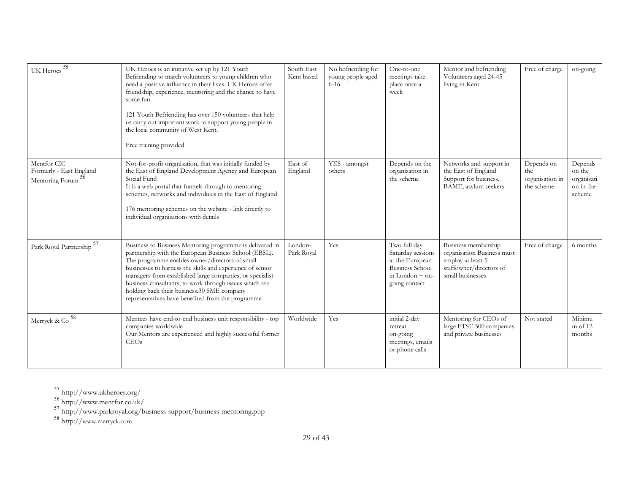| UK Heroes $^{55}$                                         | UK Heroes is an initiative set up by 121 Youth<br>Befriending to match volunteers to young children who<br>need a positive influence in their lives. UK Heroes offer<br>friendship, experience, mentoring and the chance to have<br>some fun.<br>121 Youth Befriending has over 150 volunteers that help<br>us carry out important work to support young people in<br>the local community of West Kent.<br>Free training provided                         | South East<br>Kent based | No befriending for<br>young people aged<br>$6 - 16$ | One-to-one<br>meetings take<br>place once a<br>week                                                                  | Mentor and befriending<br>Volunteers aged 24-45<br>living in Kent                                                     | Free of charge                                      | on-going                                               |
|-----------------------------------------------------------|-----------------------------------------------------------------------------------------------------------------------------------------------------------------------------------------------------------------------------------------------------------------------------------------------------------------------------------------------------------------------------------------------------------------------------------------------------------|--------------------------|-----------------------------------------------------|----------------------------------------------------------------------------------------------------------------------|-----------------------------------------------------------------------------------------------------------------------|-----------------------------------------------------|--------------------------------------------------------|
| Mentfor CIC<br>Formerly - East England<br>Mentoring Forum | Not-for-profit organisation, that was initially funded by<br>the East of England Development Agency and European<br>Social Fund<br>It is a web portal that funnels through to mentoring<br>schemes, networks and individuals in the East of England<br>176 mentoring schemes on the website - link directly to<br>individual organisations with details                                                                                                   | East of<br>England       | YES - amongst<br>others                             | Depends on the<br>organisation in<br>the scheme                                                                      | Networks and support in<br>the East of England<br>Support for business,<br>BAME, asylum seekers                       | Depends on<br>the.<br>organisation in<br>the scheme | Depends<br>on the<br>organisati<br>on in the<br>scheme |
| Park Royal Partnership <sup>57</sup>                      | Business to Business Mentoring programme is delivered in<br>partnership with the European Business School (EBSL).<br>The programme enables owner/directors of small<br>businesses to harness the skills and experience of senior<br>managers from established large companies, or specialist<br>business consultants, to work through issues which are<br>holding back their business.30 SME company<br>representatives have benefited from the programme | London-<br>Park Royal    | Yes                                                 | Two full day<br>Saturday sessions<br>at the European<br><b>Business School</b><br>in London $+$ on-<br>going contact | Business membership<br>organisation Business must<br>employ at least 5<br>staffowner/directors of<br>small businesses | Free of charge                                      | 6 months                                               |
| Merryck & Co $^{\rm 58}$                                  | Mentees have end-to-end business unit responsibility - top<br>companies worldwide<br>Our Mentors are experienced and highly successful former<br>CEOs                                                                                                                                                                                                                                                                                                     | Worldwide                | Yes                                                 | initial 2-day<br>retreat<br>on-going<br>meetings, emails<br>or phone calls                                           | Mentoring for CEOs of<br>large FTSE 500 companies<br>and private businesses                                           | Not stated                                          | Minimu<br>$m$ of 12<br>months                          |

<sup>55</sup> http://www.ukheroes.org/

<sup>56</sup> http://www.mentfor.co.uk/

<sup>&</sup>lt;sup>57</sup> http://www.parkroyal.org/business-support/business-mentoring.php

<sup>58</sup> http://www.merryck.com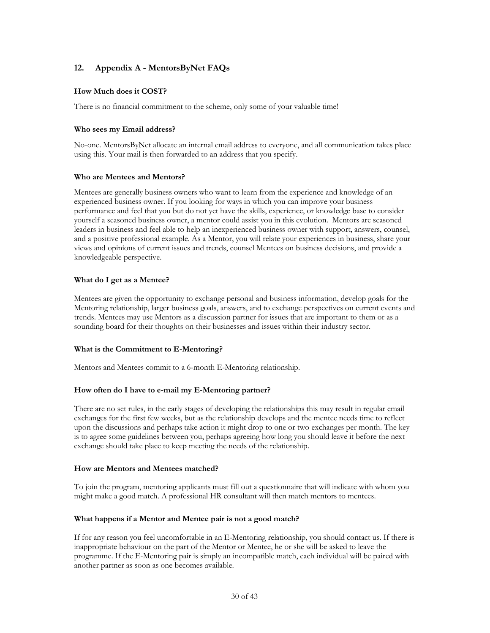## <span id="page-29-0"></span>12. Appendix A - MentorsByNet FAQs

## How Much does it COST?

There is no financial commitment to the scheme, only some of your valuable time!

## Who sees my Email address?

No-one. MentorsByNet allocate an internal email address to everyone, and all communication takes place using this. Your mail is then forwarded to an address that you specify.

## Who are Mentees and Mentors?

Mentees are generally business owners who want to learn from the experience and knowledge of an experienced business owner. If you looking for ways in which you can improve your business performance and feel that you but do not yet have the skills, experience, or knowledge base to consider yourself a seasoned business owner, a mentor could assist you in this evolution. Mentors are seasoned leaders in business and feel able to help an inexperienced business owner with support, answers, counsel, and a positive professional example. As a Mentor, you will relate your experiences in business, share your views and opinions of current issues and trends, counsel Mentees on business decisions, and provide a knowledgeable perspective.

## What do I get as a Mentee?

Mentees are given the opportunity to exchange personal and business information, develop goals for the Mentoring relationship, larger business goals, answers, and to exchange perspectives on current events and trends. Mentees may use Mentors as a discussion partner for issues that are important to them or as a sounding board for their thoughts on their businesses and issues within their industry sector.

## What is the Commitment to E-Mentoring?

Mentors and Mentees commit to a 6-month E-Mentoring relationship.

## How often do I have to e-mail my E-Mentoring partner?

There are no set rules, in the early stages of developing the relationships this may result in regular email exchanges for the first few weeks, but as the relationship develops and the mentee needs time to reflect upon the discussions and perhaps take action it might drop to one or two exchanges per month. The key is to agree some guidelines between you, perhaps agreeing how long you should leave it before the next exchange should take place to keep meeting the needs of the relationship.

## How are Mentors and Mentees matched?

To join the program, mentoring applicants must fill out a questionnaire that will indicate with whom you might make a good match. A professional HR consultant will then match mentors to mentees.

## What happens if a Mentor and Mentee pair is not a good match?

If for any reason you feel uncomfortable in an E-Mentoring relationship, you should contact us. If there is inappropriate behaviour on the part of the Mentor or Mentee, he or she will be asked to leave the programme. If the E-Mentoring pair is simply an incompatible match, each individual will be paired with another partner as soon as one becomes available.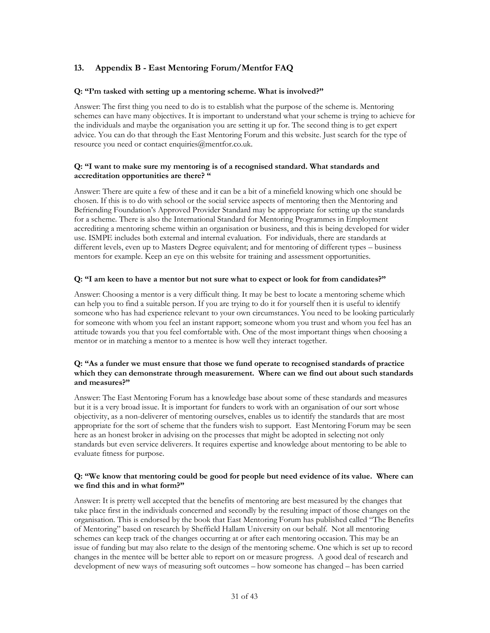## <span id="page-30-0"></span>13. Appendix B - East Mentoring Forum/Mentfor FAQ

## Q: "I'm tasked with setting up a mentoring scheme. What is involved?"

Answer: The first thing you need to do is to establish what the purpose of the scheme is. Mentoring schemes can have many objectives. It is important to understand what your scheme is trying to achieve for the individuals and maybe [the organisation you are se](mailto:enquiries@mentfor.co.uk)tting it up for. The second thing is to get expert advice. You can do that through the East Mentoring Forum and this website. Just search for the type of resource you need or contact enquiries@mentfor.co.uk.

## Q: "I want to make sure my mentoring is of a recognised standard. What standards and accreditation opportunities are there? "

Answer: There are quite a few of these and it can be a bit of a minefield knowing which one should be chosen. If this is to do with school or the social service aspects of mentoring then the Mentoring and Befriending Foundation's Approved Provider Standard may be appropriate for setting up the standards for a scheme. There is also the International Standard for Mentoring Programmes in Employment accrediting a mentoring scheme within an organisation or business, and this is being developed for wider use. ISMPE includes both external and internal evaluation. For individuals, there are standards at different levels, even up to Masters Degree equivalent; and for mentoring of different types – business mentors for example. Keep an eye on this website for training and assessment opportunities.

## Q: "I am keen to have a mentor but not sure what to expect or look for from candidates?"

Answer: Choosing a mentor is a very difficult thing. It may be best to locate a mentoring scheme which can help you to find a suitable person. If you are trying to do it for yourself then it is useful to identify someone who has had experience relevant to your own circumstances. You need to be looking particularly for someone with whom you feel an instant rapport; someone whom you trust and whom you feel has an attitude towards you that you feel comfortable with. One of the most important things when choosing a mentor or in matching a mentor to a mentee is how well they interact together.

## Q: "As a funder we must ensure that those we fund operate to recognised standards of practice which they can demonstrate through measurement. Where can we find out about such standards and measures?"

Answer: The East Mentoring Forum has a knowledge base about some of these standards and measures but it is a very broad issue. It is important for funders to work with an organisation of our sort whose objectivity, as a non-deliverer of mentoring ourselves, enables us to identify the standards that are most appropriate for the sort of scheme that the funders wish to support. East Mentoring Forum may be seen here as an honest broker in advising on the processes that might be adopted in selecting not only standards but even service deliverers. It requires expertise and knowledge about mentoring to be able to evaluate fitness for purpose.

## Q: "We know that mentoring could be good for people but need evidence of its value. Where can we find this and in what form?"

Answer: It is pretty well accepted that the benefits of mentoring are best measured by the changes that take place first in the individuals concerned and secondly by the resulting impact of those changes on the organisation. This is endorsed by the book that East Mentoring Forum has published called "The Benefits of Mentoring" based on research by Sheffield Hallam University on our behalf. Not all mentoring schemes can keep track of the changes occurring at or after each mentoring occasion. This may be an issue of funding but may also relate to the design of the mentoring scheme. One which is set up to record changes in the mentee will be better able to report on or measure progress. A good deal of research and development of new ways of measuring soft outcomes – how someone has changed – has been carried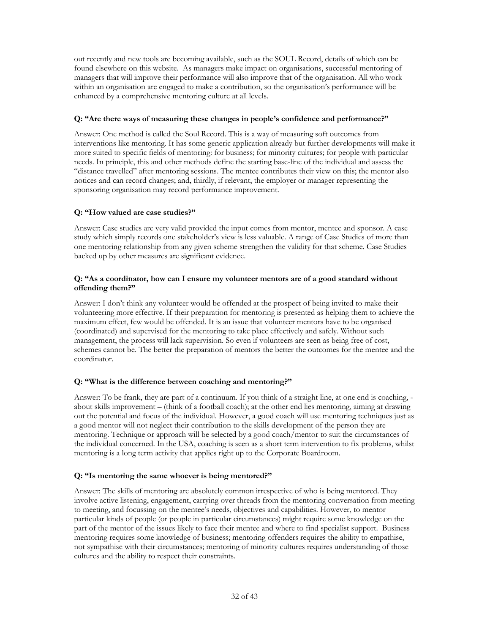out recently and new tools are becoming available, such as the SOUL Record, details of which can be found elsewhere on this website. As managers make impact on organisations, successful mentoring of managers that will improve their performance will also improve that of the organisation. All who work within an organisation are engaged to make a contribution, so the organisation's performance will be enhanced by a comprehensive mentoring culture at all levels.

## Q: "Are there ways of measuring these changes in people's confidence and performance?"

Answer: One method is called the Soul Record. This is a way of measuring soft outcomes from interventions like mentoring. It has some generic application already but further developments will make it more suited to specific fields of mentoring: for business; for minority cultures; for people with particular needs. In principle, this and other methods define the starting base-line of the individual and assess the "distance travelled" after mentoring sessions. The mentee contributes their view on this; the mentor also notices and can record changes; and, thirdly, if relevant, the employer or manager representing the sponsoring organisation may record performance improvement.

## Q: "How valued are case studies?"

Answer: Case studies are very valid provided the input comes from mentor, mentee and sponsor. A case study which simply records one stakeholder's view is less valuable. A range of Case Studies of more than one mentoring relationship from any given scheme strengthen the validity for that scheme. Case Studies backed up by other measures are significant evidence.

## Q: "As a coordinator, how can I ensure my volunteer mentors are of a good standard without offending them?"

Answer: I don't think any volunteer would be offended at the prospect of being invited to make their volunteering more effective. If their preparation for mentoring is presented as helping them to achieve the maximum effect, few would be offended. It is an issue that volunteer mentors have to be organised (coordinated) and supervised for the mentoring to take place effectively and safely. Without such management, the process will lack supervision. So even if volunteers are seen as being free of cost, schemes cannot be. The better the preparation of mentors the better the outcomes for the mentee and the coordinator.

## Q: "What is the difference between coaching and mentoring?"

Answer: To be frank, they are part of a continuum. If you think of a straight line, at one end is coaching, about skills improvement – (think of a football coach); at the other end lies mentoring, aiming at drawing out the potential and focus of the individual. However, a good coach will use mentoring techniques just as a good mentor will not neglect their contribution to the skills development of the person they are mentoring. Technique or approach will be selected by a good coach/mentor to suit the circumstances of the individual concerned. In the USA, coaching is seen as a short term intervention to fix problems, whilst mentoring is a long term activity that applies right up to the Corporate Boardroom.

## Q: "Is mentoring the same whoever is being mentored?"

Answer: The skills of mentoring are absolutely common irrespective of who is being mentored. They involve active listening, engagement, carrying over threads from the mentoring conversation from meeting to meeting, and focussing on the mentee's needs, objectives and capabilities. However, to mentor particular kinds of people (or people in particular circumstances) might require some knowledge on the part of the mentor of the issues likely to face their mentee and where to find specialist support. Business mentoring requires some knowledge of business; mentoring offenders requires the ability to empathise, not sympathise with their circumstances; mentoring of minority cultures requires understanding of those cultures and the ability to respect their constraints.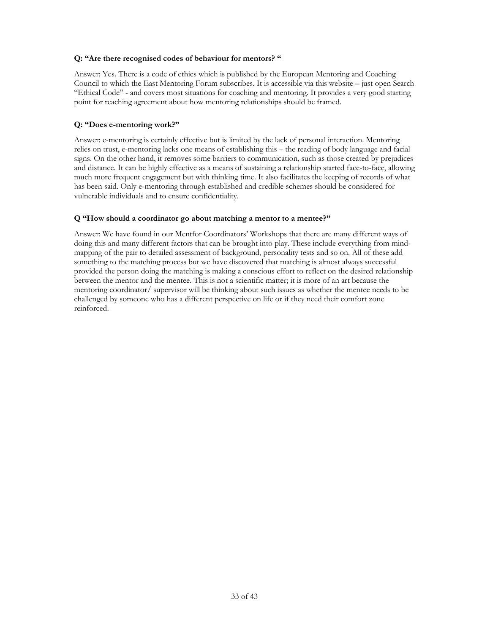## Q: "Are there recognised codes of behaviour for mentors? "

Answer: Yes. There is a code of ethics which is published by the European Mentoring and Coaching Council to which the East Mentoring Forum subscribes. It is accessible via this website – just open Search "Ethical Code" - and covers most situations for coaching and mentoring. It provides a very good starting point for reaching agreement about how mentoring relationships should be framed.

## Q: "Does e-mentoring work?"

Answer: e-mentoring is certainly effective but is limited by the lack of personal interaction. Mentoring relies on trust, e-mentoring lacks one means of establishing this – the reading of body language and facial signs. On the other hand, it removes some barriers to communication, such as those created by prejudices and distance. It can be highly effective as a means of sustaining a relationship started face-to-face, allowing much more frequent engagement but with thinking time. It also facilitates the keeping of records of what has been said. Only e-mentoring through established and credible schemes should be considered for vulnerable individuals and to ensure confidentiality.

## Q "How should a coordinator go about matching a mentor to a mentee?"

Answer: We have found in our Mentfor Coordinators' Workshops that there are many different ways of doing this and many different factors that can be brought into play. These include everything from mindmapping of the pair to detailed assessment of background, personality tests and so on. All of these add something to the matching process but we have discovered that matching is almost always successful provided the person doing the matching is making a conscious effort to reflect on the desired relationship between the mentor and the mentee. This is not a scientific matter; it is more of an art because the mentoring coordinator/ supervisor will be thinking about such issues as whether the mentee needs to be challenged by someone who has a different perspective on life or if they need their comfort zone reinforced.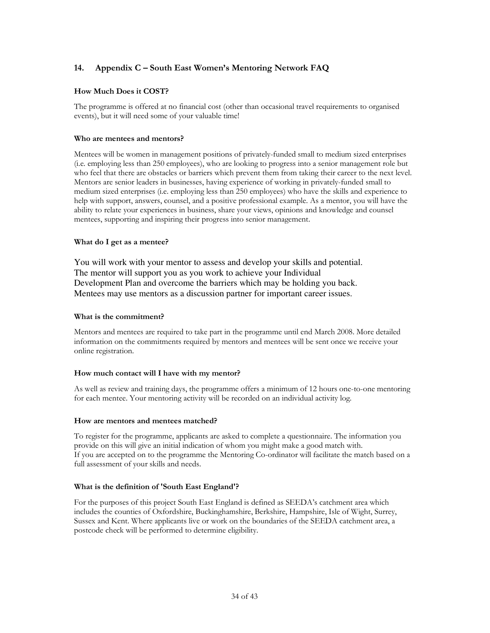## <span id="page-33-0"></span>14. Appendix C – South East Women's Mentoring Network FAQ

## How Much Does it COST?

The programme is offered at no financial cost (other than occasional travel requirements to organised events), but it will need some of your valuable time!

## Who are mentees and mentors?

Mentees will be women in management positions of privately-funded small to medium sized enterprises (i.e. employing less than 250 employees), who are looking to progress into a senior management role but who feel that there are obstacles or barriers which prevent them from taking their career to the next level. Mentors are senior leaders in businesses, having experience of working in privately-funded small to medium sized enterprises (i.e. employing less than 250 employees) who have the skills and experience to help with support, answers, counsel, and a positive professional example. As a mentor, you will have the ability to relate your experiences in business, share your views, opinions and knowledge and counsel mentees, supporting and inspiring their progress into senior management.

## What do I get as a mentee?

You will work with your mentor to assess and develop your skills and potential. The mentor will support you as you work to achieve your Individual Development Plan and overcome the barriers which may be holding you back. Mentees may use mentors as a discussion partner for important career issues.

## What is the commitment?

Mentors and mentees are required to take part in the programme until end March 2008. More detailed information on the commitments required by mentors and mentees will be sent once we receive your online registration.

## How much contact will I have with my mentor?

As well as review and training days, the programme offers a minimum of 12 hours one-to-one mentoring for each mentee. Your mentoring activity will be recorded on an individual activity log.

### How are mentors and mentees matched?

To register for the programme, applicants are asked to complete a questionnaire. The information you provide on this will give an initial indication of whom you might make a good match with. If you are accepted on to the programme the Mentoring Co-ordinator will facilitate the match based on a full assessment of your skills and needs.

## What is the definition of 'South East England'?

For the purposes of this project South East England is defined as SEEDA's catchment area which includes the counties of Oxfordshire, Buckinghamshire, Berkshire, Hampshire, Isle of Wight, Surrey, Sussex and Kent. Where applicants live or work on the boundaries of the SEEDA catchment area, a postcode check will be performed to determine eligibility.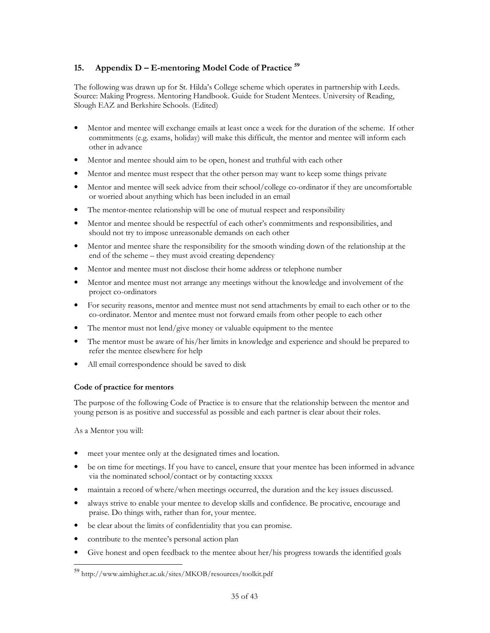## <span id="page-34-0"></span>15. Appendix D – E-mentoring Model Code of Practice **<sup>59</sup>**

The following was drawn up for St. Hilda's College scheme which operates in partnership with Leeds. Source: Making Progress. Mentoring Handbook. Guide for Student Mentees. University of Reading, Slough EAZ and Berkshire Schools. (Edited)

- Mentor and mentee will exchange emails at least once a week for the duration of the scheme. If other commitments (e.g. exams, holiday) will make this difficult, the mentor and mentee will inform each other in advance
- Mentor and mentee should aim to be open, honest and truthful with each other
- Mentor and mentee must respect that the other person may want to keep some things private
- Mentor and mentee will seek advice from their school/college co-ordinator if they are uncomfortable or worried about anything which has been included in an email
- The mentor-mentee relationship will be one of mutual respect and responsibility
- Mentor and mentee should be respectful of each other's commitments and responsibilities, and should not try to impose unreasonable demands on each other
- Mentor and mentee share the responsibility for the smooth winding down of the relationship at the end of the scheme – they must avoid creating dependency
- Mentor and mentee must not disclose their home address or telephone number
- Mentor and mentee must not arrange any meetings without the knowledge and involvement of the project co-ordinators
- For security reasons, mentor and mentee must not send attachments by email to each other or to the co-ordinator. Mentor and mentee must not forward emails from other people to each other
- The mentor must not lend/give money or valuable equipment to the mentee
- The mentor must be aware of his/her limits in knowledge and experience and should be prepared to refer the mentee elsewhere for help
- All email correspondence should be saved to disk

## Code of practice for mentors

The purpose of the following Code of Practice is to ensure that the relationship between the mentor and young person is as positive and successful as possible and each partner is clear about their roles.

As a Mentor you will:

 $\overline{a}$ 

- meet your mentee only at the designated times and location.
- be on time for meetings. If you have to cancel, ensure that your mentee has been informed in advance via the nominated school/contact or by contacting xxxxx
- maintain a record of where/when meetings occurred, the duration and the key issues discussed.
- always strive to enable your mentee to develop skills and confidence. Be procative, encourage and praise. Do things with, rather than for, your mentee.
- be clear about the limits of confidentiality that you can promise.
- contribute to the mentee's personal action plan
- Give honest and open feedback to the mentee about her/his progress towards the identified goals

<sup>59</sup> http://www.aimhigher.ac.uk/sites/MKOB/resources/toolkit.pdf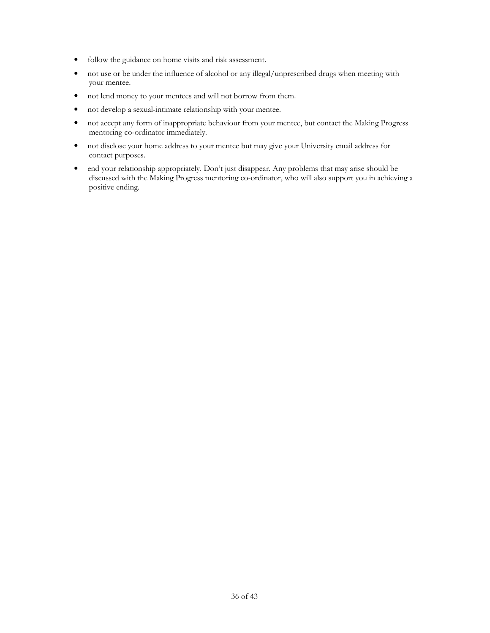- follow the guidance on home visits and risk assessment.
- not use or be under the influence of alcohol or any illegal/unprescribed drugs when meeting with your mentee.
- not lend money to your mentees and will not borrow from them.
- not develop a sexual-intimate relationship with your mentee.
- not accept any form of inappropriate behaviour from your mentee, but contact the Making Progress mentoring co-ordinator immediately.
- not disclose your home address to your mentee but may give your University email address for contact purposes.
- end your relationship appropriately. Don't just disappear. Any problems that may arise should be discussed with the Making Progress mentoring co-ordinator, who will also support you in achieving a positive ending.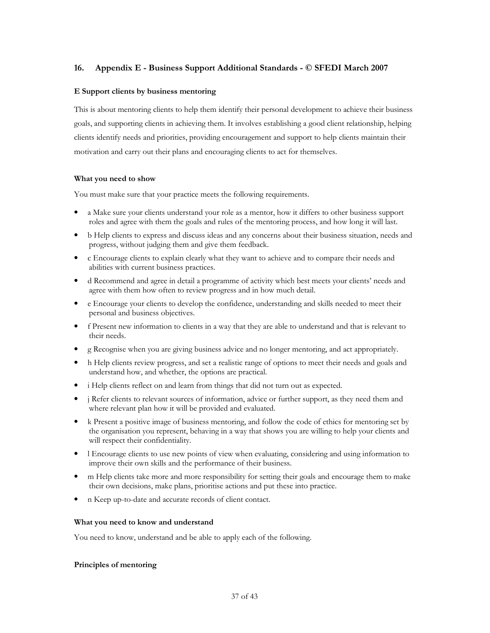## <span id="page-36-0"></span>16. Appendix E - Business Support Additional Standards - © SFEDI March 2007

## E Support clients by business mentoring

This is about mentoring clients to help them identify their personal development to achieve their business goals, and supporting clients in achieving them. It involves establishing a good client relationship, helping clients identify needs and priorities, providing encouragement and support to help clients maintain their motivation and carry out their plans and encouraging clients to act for themselves.

## What you need to show

You must make sure that your practice meets the following requirements.

- a Make sure your clients understand your role as a mentor, how it differs to other business support roles and agree with them the goals and rules of the mentoring process, and how long it will last.
- b Help clients to express and discuss ideas and any concerns about their business situation, needs and progress, without judging them and give them feedback.
- c Encourage clients to explain clearly what they want to achieve and to compare their needs and abilities with current business practices.
- d Recommend and agree in detail a programme of activity which best meets your clients' needs and agree with them how often to review progress and in how much detail.
- e Encourage your clients to develop the confidence, understanding and skills needed to meet their personal and business objectives.
- f Present new information to clients in a way that they are able to understand and that is relevant to their needs.
- g Recognise when you are giving business advice and no longer mentoring, and act appropriately.
- h Help clients review progress, and set a realistic range of options to meet their needs and goals and understand how, and whether, the options are practical.
- i Help clients reflect on and learn from things that did not turn out as expected.
- j Refer clients to relevant sources of information, advice or further support, as they need them and where relevant plan how it will be provided and evaluated.
- k Present a positive image of business mentoring, and follow the code of ethics for mentoring set by the organisation you represent, behaving in a way that shows you are willing to help your clients and will respect their confidentiality.
- l Encourage clients to use new points of view when evaluating, considering and using information to improve their own skills and the performance of their business.
- m Help clients take more and more responsibility for setting their goals and encourage them to make their own decisions, make plans, prioritise actions and put these into practice.
- n Keep up-to-date and accurate records of client contact.

### What you need to know and understand

You need to know, understand and be able to apply each of the following.

## Principles of mentoring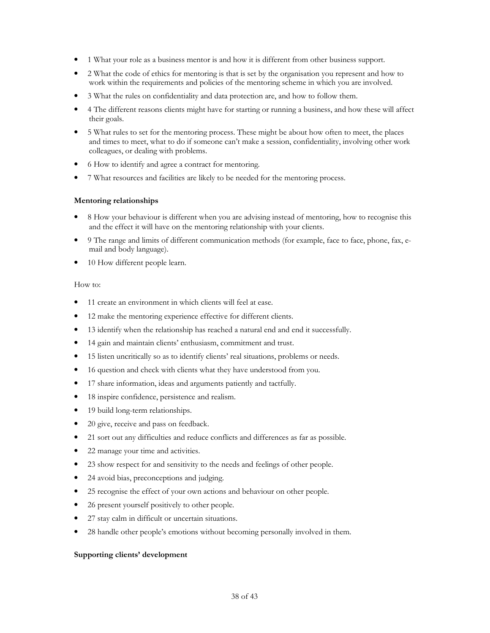- 1 What your role as a business mentor is and how it is different from other business support.
- 2 What the code of ethics for mentoring is that is set by the organisation you represent and how to work within the requirements and policies of the mentoring scheme in which you are involved.
- 3 What the rules on confidentiality and data protection are, and how to follow them.
- 4 The different reasons clients might have for starting or running a business, and how these will affect their goals.
- 5 What rules to set for the mentoring process. These might be about how often to meet, the places and times to meet, what to do if someone can't make a session, confidentiality, involving other work colleagues, or dealing with problems.
- 6 How to identify and agree a contract for mentoring.
- 7 What resources and facilities are likely to be needed for the mentoring process.

## Mentoring relationships

- 8 How your behaviour is different when you are advising instead of mentoring, how to recognise this and the effect it will have on the mentoring relationship with your clients.
- 9 The range and limits of different communication methods (for example, face to face, phone, fax, email and body language).
- 10 How different people learn.

### How to:

- 11 create an environment in which clients will feel at ease.
- 12 make the mentoring experience effective for different clients.
- 13 identify when the relationship has reached a natural end and end it successfully.
- 14 gain and maintain clients' enthusiasm, commitment and trust.
- 15 listen uncritically so as to identify clients' real situations, problems or needs.
- 16 question and check with clients what they have understood from you.
- 17 share information, ideas and arguments patiently and tactfully.
- 18 inspire confidence, persistence and realism.
- 19 build long-term relationships.
- 20 give, receive and pass on feedback.
- 21 sort out any difficulties and reduce conflicts and differences as far as possible.
- 22 manage your time and activities.
- 23 show respect for and sensitivity to the needs and feelings of other people.
- 24 avoid bias, preconceptions and judging.
- 25 recognise the effect of your own actions and behaviour on other people.
- 26 present yourself positively to other people.
- 27 stay calm in difficult or uncertain situations.
- 28 handle other people's emotions without becoming personally involved in them.

### Supporting clients' development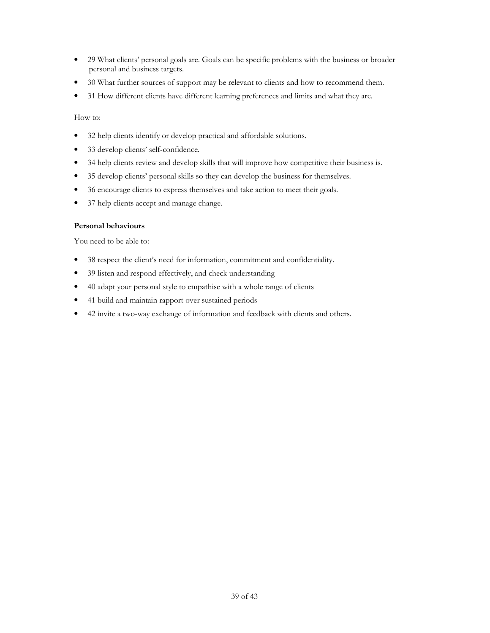- 29 What clients' personal goals are. Goals can be specific problems with the business or broader personal and business targets.
- 30 What further sources of support may be relevant to clients and how to recommend them.
- 31 How different clients have different learning preferences and limits and what they are.

How to:

- 32 help clients identify or develop practical and affordable solutions.
- 33 develop clients' self-confidence.
- 34 help clients review and develop skills that will improve how competitive their business is.
- 35 develop clients' personal skills so they can develop the business for themselves.
- 36 encourage clients to express themselves and take action to meet their goals.
- 37 help clients accept and manage change.

## Personal behaviours

You need to be able to:

- 38 respect the client's need for information, commitment and confidentiality.
- 39 listen and respond effectively, and check understanding
- 40 adapt your personal style to empathise with a whole range of clients
- 41 build and maintain rapport over sustained periods
- 42 invite a two-way exchange of information and feedback with clients and others.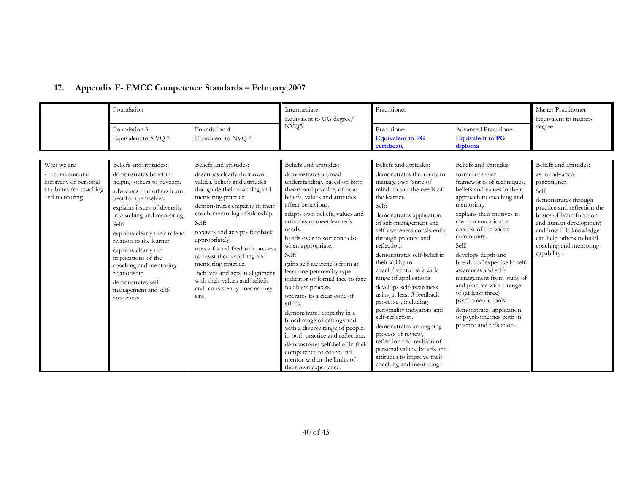|                                                                                                    | Foundation                                                                                                                                                                                                                                                                                                                                                                                                                       |                                                                                                                                                                                                                                                                                                                                                                                                                                                                                  | Intermediate<br>Equivalent to UG degree/                                                                                                                                                                                                                                                                                                                                                                                                                                                                                                                                                                                                                                                                                               | Practitioner                                                                                                                                                                                                                                                                                                                                                                                                                                                                                                                                                                                                                                                                     |                                                                                                                                                                                                                                                                                                                                                                                                                                                                                                                            | Master Practitioner<br>Equivalent to masters                                                                                                                                                                                                                                   |
|----------------------------------------------------------------------------------------------------|----------------------------------------------------------------------------------------------------------------------------------------------------------------------------------------------------------------------------------------------------------------------------------------------------------------------------------------------------------------------------------------------------------------------------------|----------------------------------------------------------------------------------------------------------------------------------------------------------------------------------------------------------------------------------------------------------------------------------------------------------------------------------------------------------------------------------------------------------------------------------------------------------------------------------|----------------------------------------------------------------------------------------------------------------------------------------------------------------------------------------------------------------------------------------------------------------------------------------------------------------------------------------------------------------------------------------------------------------------------------------------------------------------------------------------------------------------------------------------------------------------------------------------------------------------------------------------------------------------------------------------------------------------------------------|----------------------------------------------------------------------------------------------------------------------------------------------------------------------------------------------------------------------------------------------------------------------------------------------------------------------------------------------------------------------------------------------------------------------------------------------------------------------------------------------------------------------------------------------------------------------------------------------------------------------------------------------------------------------------------|----------------------------------------------------------------------------------------------------------------------------------------------------------------------------------------------------------------------------------------------------------------------------------------------------------------------------------------------------------------------------------------------------------------------------------------------------------------------------------------------------------------------------|--------------------------------------------------------------------------------------------------------------------------------------------------------------------------------------------------------------------------------------------------------------------------------|
|                                                                                                    | Foundation 3<br>Equivalent to NVQ 3                                                                                                                                                                                                                                                                                                                                                                                              | Foundation 4<br>Equivalent to NVQ 4                                                                                                                                                                                                                                                                                                                                                                                                                                              | NVQ5                                                                                                                                                                                                                                                                                                                                                                                                                                                                                                                                                                                                                                                                                                                                   | Practitioner<br><b>Equivalent to PG</b><br>certificate                                                                                                                                                                                                                                                                                                                                                                                                                                                                                                                                                                                                                           | Advanced Practitioner<br><b>Equivalent to PG</b><br>diploma                                                                                                                                                                                                                                                                                                                                                                                                                                                                | degree                                                                                                                                                                                                                                                                         |
| Who we are<br>the incremental<br>hierarchy of personal<br>attributes for coaching<br>and mentoring | Beliefs and attitudes:<br>demonstrates belief in<br>helping others to develop.<br>advocates that others learn<br>best for themselves.<br>explains issues of diversity<br>in coaching and mentoring.<br>Self:<br>explains clearly their role in<br>relation to the learner.<br>explains clearly the<br>implications of the<br>coaching and mentoring<br>relationship.<br>demonstrates self-<br>management and self-<br>awareness. | Beliefs and attitudes:<br>describes clearly their own<br>values, beliefs and attitudes<br>that guide their coaching and<br>mentoring practice.<br>demonstrates empathy in their<br>coach-mentoring relationship.<br>Self:<br>receives and accepts feedback<br>appropriately.<br>uses a formal feedback process<br>to assist their coaching and<br>mentoring practice.<br>behaves and acts in alignment<br>with their values and beliefs<br>and consistently does as they<br>say. | Beliefs and attitudes:<br>demonstrates a broad<br>understanding, based on both<br>theory and practice, of how<br>beliefs, values and attitudes<br>affect behaviour.<br>adapts own beliefs, values and<br>attitudes to meet learner's<br>needs.<br>hands over to someone else<br>when appropriate.<br>Self:<br>gains self-awareness from at<br>least one personality type<br>indicator or formal face to face<br>feedback process.<br>operates to a clear code of<br>ethics.<br>demonstrates empathy in a<br>broad range of settings and<br>with a diverse range of people.<br>in both practice and reflection.<br>demonstrates self-belief in their<br>competence to coach and<br>mentor within the limits of<br>their own experience. | Beliefs and attitudes:<br>demonstrates the ability to<br>manage own 'state of<br>mind' to suit the needs of<br>the learner.<br>Self:<br>demonstrates application<br>of self-management and<br>self-awareness consistently<br>through practice and<br>reflection.<br>demonstrates self-belief in<br>their ability to<br>coach/mentor in a wide<br>range of applications<br>develops self-awareness<br>using at least 3 feedback<br>processes, including<br>personality indicators and<br>self-reflection.<br>demonstrates an ongoing<br>process of review,<br>reflection and revision of<br>personal values, beliefs and<br>attitudes to improve their<br>coaching and mentoring. | Beliefs and attitudes:<br>formulates own<br>frameworks of techniques,<br>beliefs and values in their<br>approach to coaching and<br>mentoring.<br>explains their motives to<br>coach mentor in the<br>context of the wider<br>community.<br>Self:<br>develops depth and<br>breadth of expertise in self-<br>awareness and self-<br>management from study of<br>and practice with a range<br>of (at least three)<br>psychometric tools.<br>demonstrates application<br>of psychometrics both in<br>practice and reflection. | Beliefs and attitudes:<br>as for advanced<br>practitioner.<br>Self:<br>demonstrates through<br>practice and reflection the<br>basics of brain function<br>and human development<br>and how this knowledge<br>can help others to build<br>coaching and mentoring<br>capability. |

## <span id="page-39-0"></span>17. Appendix F- EMCC Competence Standards – February 2007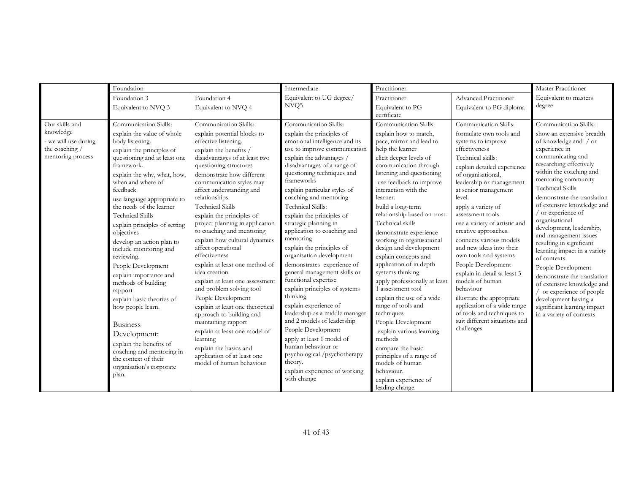|                                                                                            | Foundation                                                                                                                                                                                                                                                                                                                                                                                                                                                                                                                                                                                                                                                                                                     |                                                                                                                                                                                                                                                                                                                                                                                                                                                                                                                                                                                                                                                                                                                                                                                                                                           | Intermediate                                                                                                                                                                                                                                                                                                                                                                                                                                                                                                                                                                                                                                                                                                                                                                                                                                           | Practitioner                                                                                                                                                                                                                                                                                                                                                                                                                                                                                                                                                                                                                                                                                                                                          |                                                                                                                                                                                                                                                                                                                                                                                                                                                                                                                                                                                                                                                     | Master Practitioner                                                                                                                                                                                                                                                                                                                                                                                                                                                                                                                                                                                                                                       |
|--------------------------------------------------------------------------------------------|----------------------------------------------------------------------------------------------------------------------------------------------------------------------------------------------------------------------------------------------------------------------------------------------------------------------------------------------------------------------------------------------------------------------------------------------------------------------------------------------------------------------------------------------------------------------------------------------------------------------------------------------------------------------------------------------------------------|-------------------------------------------------------------------------------------------------------------------------------------------------------------------------------------------------------------------------------------------------------------------------------------------------------------------------------------------------------------------------------------------------------------------------------------------------------------------------------------------------------------------------------------------------------------------------------------------------------------------------------------------------------------------------------------------------------------------------------------------------------------------------------------------------------------------------------------------|--------------------------------------------------------------------------------------------------------------------------------------------------------------------------------------------------------------------------------------------------------------------------------------------------------------------------------------------------------------------------------------------------------------------------------------------------------------------------------------------------------------------------------------------------------------------------------------------------------------------------------------------------------------------------------------------------------------------------------------------------------------------------------------------------------------------------------------------------------|-------------------------------------------------------------------------------------------------------------------------------------------------------------------------------------------------------------------------------------------------------------------------------------------------------------------------------------------------------------------------------------------------------------------------------------------------------------------------------------------------------------------------------------------------------------------------------------------------------------------------------------------------------------------------------------------------------------------------------------------------------|-----------------------------------------------------------------------------------------------------------------------------------------------------------------------------------------------------------------------------------------------------------------------------------------------------------------------------------------------------------------------------------------------------------------------------------------------------------------------------------------------------------------------------------------------------------------------------------------------------------------------------------------------------|-----------------------------------------------------------------------------------------------------------------------------------------------------------------------------------------------------------------------------------------------------------------------------------------------------------------------------------------------------------------------------------------------------------------------------------------------------------------------------------------------------------------------------------------------------------------------------------------------------------------------------------------------------------|
|                                                                                            | Foundation 3                                                                                                                                                                                                                                                                                                                                                                                                                                                                                                                                                                                                                                                                                                   | Foundation 4                                                                                                                                                                                                                                                                                                                                                                                                                                                                                                                                                                                                                                                                                                                                                                                                                              | Equivalent to UG degree/                                                                                                                                                                                                                                                                                                                                                                                                                                                                                                                                                                                                                                                                                                                                                                                                                               | Practitioner                                                                                                                                                                                                                                                                                                                                                                                                                                                                                                                                                                                                                                                                                                                                          | <b>Advanced Practitioner</b>                                                                                                                                                                                                                                                                                                                                                                                                                                                                                                                                                                                                                        | Equivalent to masters                                                                                                                                                                                                                                                                                                                                                                                                                                                                                                                                                                                                                                     |
|                                                                                            | Equivalent to NVQ 3                                                                                                                                                                                                                                                                                                                                                                                                                                                                                                                                                                                                                                                                                            | Equivalent to NVQ 4                                                                                                                                                                                                                                                                                                                                                                                                                                                                                                                                                                                                                                                                                                                                                                                                                       | NVO <sub>5</sub>                                                                                                                                                                                                                                                                                                                                                                                                                                                                                                                                                                                                                                                                                                                                                                                                                                       | Equivalent to PG<br>certificate                                                                                                                                                                                                                                                                                                                                                                                                                                                                                                                                                                                                                                                                                                                       | Equivalent to PG diploma                                                                                                                                                                                                                                                                                                                                                                                                                                                                                                                                                                                                                            | degree                                                                                                                                                                                                                                                                                                                                                                                                                                                                                                                                                                                                                                                    |
| Our skills and<br>knowledge<br>- we will use during<br>the coaching /<br>mentoring process | Communication Skills:<br>explain the value of whole<br>body listening.<br>explain the principles of<br>questioning and at least one<br>framework.<br>explain the why, what, how,<br>when and where of<br>feedback<br>use language appropriate to<br>the needs of the learner<br><b>Technical Skills</b><br>explain principles of setting<br>objectives<br>develop an action plan to<br>include monitoring and<br>reviewing.<br>People Development<br>explain importance and<br>methods of building<br>rapport<br>explain basic theories of<br>how people learn.<br><b>Business</b><br>Development:<br>explain the benefits of<br>coaching and mentoring in<br>the context of their<br>organisation's corporate | Communication Skills:<br>explain potential blocks to<br>effective listening.<br>explain the benefits /<br>disadvantages of at least two<br>questioning structures<br>demonstrate how different<br>communication styles may<br>affect understanding and<br>relationships.<br><b>Technical Skills</b><br>explain the principles of<br>project planning in application<br>to coaching and mentoring<br>explain how cultural dynamics<br>affect operational<br>effectiveness<br>explain at least one method of<br>idea creation<br>explain at least one assessment<br>and problem solving tool<br>People Development<br>explain at least one theoretical<br>approach to building and<br>maintaining rapport<br>explain at least one model of<br>learning<br>explain the basics and<br>application of at least one<br>model of human behaviour | Communication Skills:<br>explain the principles of<br>emotional intelligence and its<br>use to improve communication<br>explain the advantages /<br>disadvantages of a range of<br>questioning techniques and<br>frameworks<br>explain particular styles of<br>coaching and mentoring<br>Technical Skills:<br>explain the principles of<br>strategic planning in<br>application to coaching and<br>mentoring<br>explain the principles of<br>organisation development<br>demonstrates experience of<br>general management skills or<br>functional expertise<br>explain principles of systems<br>thinking<br>explain experience of<br>leadership as a middle manager<br>and 2 models of leadership<br>People Development<br>apply at least 1 model of<br>human behaviour or<br>psychological /psychotherapy<br>theory.<br>explain experience of working | Communication Skills:<br>explain how to match,<br>pace, mirror and lead to<br>help the learner<br>elicit deeper levels of<br>communication through<br>listening and questioning<br>use feedback to improve<br>interaction with the<br>learner.<br>build a long-term<br>relationship based on trust.<br>Technical skills<br>demonstrate experience<br>working in organisational<br>design and development<br>explain concepts and<br>application of in depth<br>systems thinking<br>apply professionally at least<br>1 assessment tool<br>explain the use of a wide<br>range of tools and<br>techniques<br>People Development<br>explain various learning<br>methods<br>compare the basic<br>principles of a range of<br>models of human<br>behaviour. | Communication Skills:<br>formulate own tools and<br>systems to improve<br>effectiveness<br>Technical skills:<br>explain detailed experience<br>of organisational,<br>leadership or management<br>at senior management<br>level.<br>apply a variety of<br>assessment tools.<br>use a variety of artistic and<br>creative approaches.<br>connects various models<br>and new ideas into their<br>own tools and systems<br>People Development<br>explain in detail at least 3<br>models of human<br>behaviour<br>illustrate the appropriate<br>application of a wide range<br>of tools and techniques to<br>suit different situations and<br>challenges | Communication Skills:<br>show an extensive breadth<br>of knowledge and / or<br>experience in<br>communicating and<br>researching effectively<br>within the coaching and<br>mentoring community<br>Technical Skills<br>demonstrate the translation<br>of extensive knowledge and<br>/ or experience of<br>organisational<br>development, leadership,<br>and management issues<br>resulting in significant<br>learning impact in a variety<br>of contexts.<br>People Development<br>demonstrate the translation<br>of extensive knowledge and<br>or experience of people<br>development having a<br>significant learning impact<br>in a variety of contexts |
|                                                                                            | plan.                                                                                                                                                                                                                                                                                                                                                                                                                                                                                                                                                                                                                                                                                                          |                                                                                                                                                                                                                                                                                                                                                                                                                                                                                                                                                                                                                                                                                                                                                                                                                                           | with change                                                                                                                                                                                                                                                                                                                                                                                                                                                                                                                                                                                                                                                                                                                                                                                                                                            | explain experience of<br>leading change.                                                                                                                                                                                                                                                                                                                                                                                                                                                                                                                                                                                                                                                                                                              |                                                                                                                                                                                                                                                                                                                                                                                                                                                                                                                                                                                                                                                     |                                                                                                                                                                                                                                                                                                                                                                                                                                                                                                                                                                                                                                                           |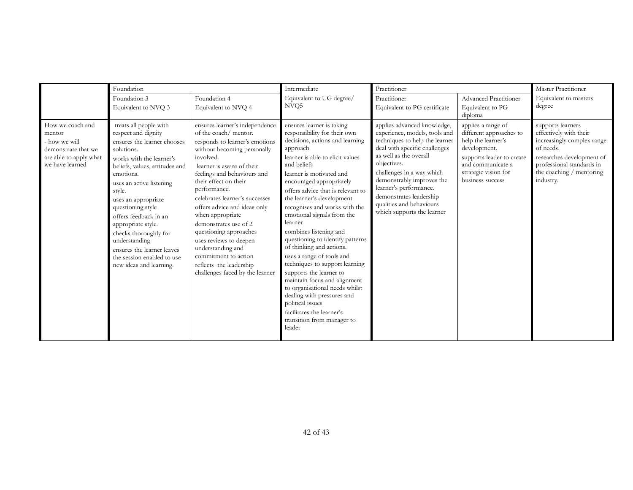|                                                                                                                 | Foundation                                                                                                                                                                                                                                                                                                                                                                                                                              |                                                                                                                                                                                                                                                                                                                                                                                                                                                                                                                          | Intermediate                                                                                                                                                                                                                                                                                                                                                                                                                                                                                                                                                                                                                                                                                                                                 | Practitioner                                                                                                                                                                                                                                                                                                                                      |                                                                                                                                                                                   | Master Practitioner                                                                                                                                                                       |
|-----------------------------------------------------------------------------------------------------------------|-----------------------------------------------------------------------------------------------------------------------------------------------------------------------------------------------------------------------------------------------------------------------------------------------------------------------------------------------------------------------------------------------------------------------------------------|--------------------------------------------------------------------------------------------------------------------------------------------------------------------------------------------------------------------------------------------------------------------------------------------------------------------------------------------------------------------------------------------------------------------------------------------------------------------------------------------------------------------------|----------------------------------------------------------------------------------------------------------------------------------------------------------------------------------------------------------------------------------------------------------------------------------------------------------------------------------------------------------------------------------------------------------------------------------------------------------------------------------------------------------------------------------------------------------------------------------------------------------------------------------------------------------------------------------------------------------------------------------------------|---------------------------------------------------------------------------------------------------------------------------------------------------------------------------------------------------------------------------------------------------------------------------------------------------------------------------------------------------|-----------------------------------------------------------------------------------------------------------------------------------------------------------------------------------|-------------------------------------------------------------------------------------------------------------------------------------------------------------------------------------------|
|                                                                                                                 | Foundation 3<br>Equivalent to NVQ 3                                                                                                                                                                                                                                                                                                                                                                                                     | Foundation 4<br>Equivalent to NVQ 4                                                                                                                                                                                                                                                                                                                                                                                                                                                                                      | Equivalent to UG degree/<br>NVO <sub>5</sub>                                                                                                                                                                                                                                                                                                                                                                                                                                                                                                                                                                                                                                                                                                 | Practitioner<br>Equivalent to PG certificate                                                                                                                                                                                                                                                                                                      | Advanced Practitioner<br>Equivalent to PG<br>diploma                                                                                                                              | Equivalent to masters<br>degree                                                                                                                                                           |
| How we coach and<br>mentor<br>- how we will<br>demonstrate that we<br>are able to apply what<br>we have learned | treats all people with<br>respect and dignity<br>ensures the learner chooses<br>solutions.<br>works with the learner's<br>beliefs, values, attitudes and<br>emotions.<br>uses an active listening<br>style.<br>uses an appropriate<br>questioning style<br>offers feedback in an<br>appropriate style.<br>checks thoroughly for<br>understanding<br>ensures the learner leaves<br>the session enabled to use<br>new ideas and learning. | ensures learner's independence<br>of the coach/ mentor.<br>responds to learner's emotions<br>without becoming personally<br>involved.<br>learner is aware of their<br>feelings and behaviours and<br>their effect on their<br>performance.<br>celebrates learner's successes<br>offers advice and ideas only<br>when appropriate<br>demonstrates use of 2<br>questioning approaches<br>uses reviews to deepen<br>understanding and<br>commitment to action<br>reflects the leadership<br>challenges faced by the learner | ensures learner is taking<br>responsibility for their own<br>decisions, actions and learning<br>approach<br>learner is able to elicit values<br>and beliefs<br>learner is motivated and<br>encouraged appropriately<br>offers advice that is relevant to<br>the learner's development<br>recognises and works with the<br>emotional signals from the<br>learner<br>combines listening and<br>questioning to identify patterns<br>of thinking and actions.<br>uses a range of tools and<br>techniques to support learning<br>supports the learner to<br>maintain focus and alignment<br>to organisational needs whilst<br>dealing with pressures and<br>political issues<br>facilitates the learner's<br>transition from manager to<br>leader | applies advanced knowledge,<br>experience, models, tools and<br>techniques to help the learner<br>deal with specific challenges<br>as well as the overall<br>objectives.<br>challenges in a way which<br>demonstrably improves the<br>learner's performance.<br>demonstrates leadership<br>qualities and behaviours<br>which supports the learner | applies a range of<br>different approaches to<br>help the learner's<br>development.<br>supports leader to create<br>and communicate a<br>strategic vision for<br>business success | supports learners<br>effectively with their<br>increasingly complex range<br>of needs.<br>researches development of<br>professional standards in<br>the coaching / mentoring<br>industry. |